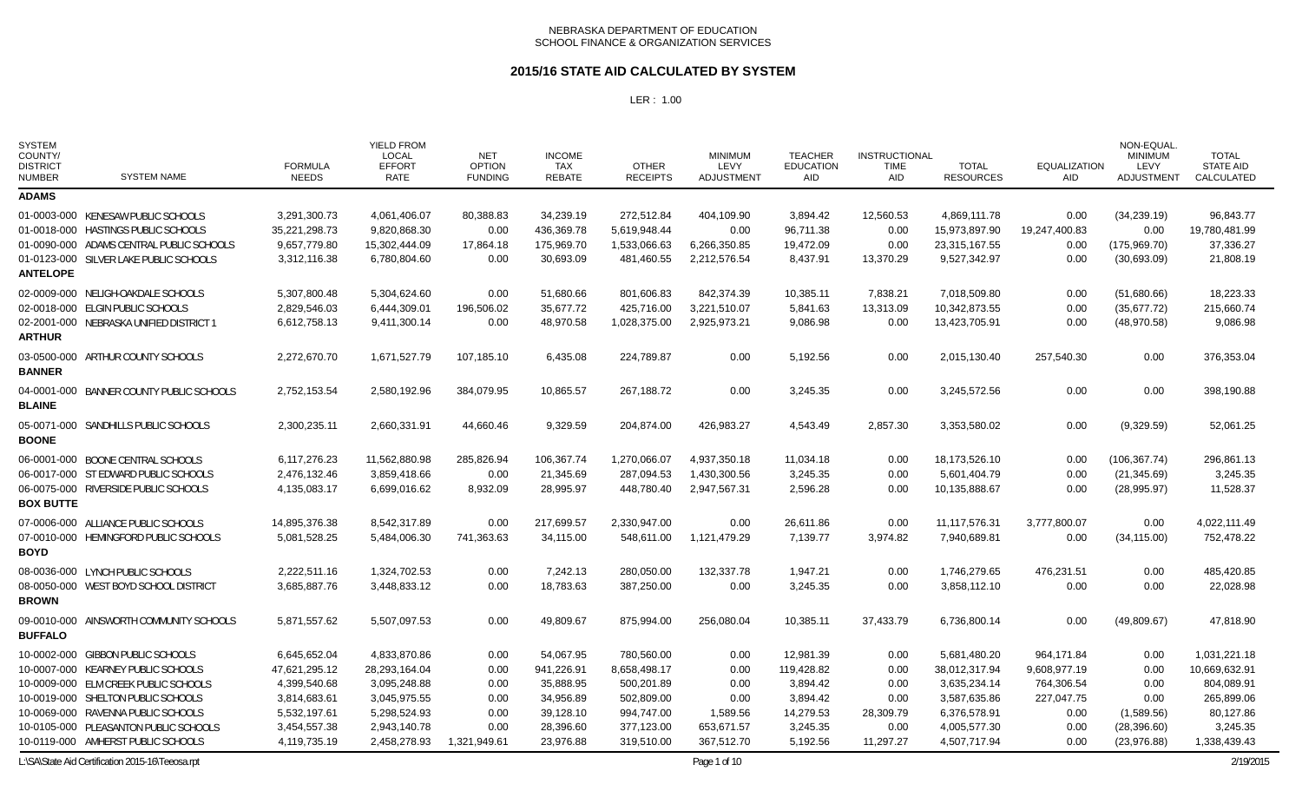### **2015/16 STATE AID CALCULATED BY SYSTEM**

| <b>SYSTEM</b><br>COUNTY/<br><b>DISTRICT</b><br><b>NUMBER</b> | <b>SYSTEM NAME</b>                                                                     | <b>FORMULA</b><br><b>NEEDS</b> | <b>YIELD FROM</b><br><b>LOCAL</b><br><b>EFFORT</b><br><b>RATE</b> | <b>NET</b><br><b>OPTION</b><br><b>FUNDING</b> | <b>INCOME</b><br><b>TAX</b><br><b>REBATE</b> | <b>OTHER</b><br><b>RECEIPTS</b> | <b>MINIMUM</b><br>LEVY<br>ADJUSTMENT | <b>TEACHER</b><br><b>EDUCATION</b><br><b>AID</b> | <b>INSTRUCTIONAL</b><br><b>TIME</b><br><b>AID</b> | <b>TOTAL</b><br><b>RESOURCES</b> | <b>EQUALIZATION</b><br><b>AID</b> | NON-EQUAL.<br><b>MINIMUM</b><br>LEVY<br><b>ADJUSTMENT</b> | <b>TOTAL</b><br><b>STATE AID</b><br><b>CALCULATED</b> |
|--------------------------------------------------------------|----------------------------------------------------------------------------------------|--------------------------------|-------------------------------------------------------------------|-----------------------------------------------|----------------------------------------------|---------------------------------|--------------------------------------|--------------------------------------------------|---------------------------------------------------|----------------------------------|-----------------------------------|-----------------------------------------------------------|-------------------------------------------------------|
| <b>ADAMS</b>                                                 |                                                                                        |                                |                                                                   |                                               |                                              |                                 |                                      |                                                  |                                                   |                                  |                                   |                                                           |                                                       |
|                                                              | 01-0003-000 KENESAW PUBLIC SCHOOLS                                                     | 3,291,300.73                   | 4,061,406.07                                                      | 80,388.83                                     | 34,239.19                                    | 272,512.84                      | 404,109.90                           | 3,894.42                                         | 12,560.53                                         | 4,869,111.78                     | 0.00                              | (34, 239.19)                                              | 96,843.77                                             |
|                                                              | 01-0018-000 HASTINGS PUBLIC SCHOOLS                                                    | 35,221,298.73                  | 9,820,868.30                                                      | 0.00                                          | 436,369.78                                   | 5,619,948.44                    | 0.00                                 | 96,711.38                                        | 0.00                                              | 15,973,897.90                    | 19,247,400.83                     | 0.00                                                      | 19,780,481.99                                         |
| <b>ANTELOPE</b>                                              | 01-0090-000 ADAMS CENTRAL PUBLIC SCHOOLS                                               | 9,657,779.80                   | 15,302,444.09                                                     | 17,864.18                                     | 175,969.70                                   | 1,533,066.63                    | 6,266,350.85                         | 19,472.09                                        | 0.00                                              | 23,315,167.55                    | 0.00                              | (175,969.70)                                              | 37,336.27                                             |
|                                                              | 01-0123-000 SILVER LAKE PUBLIC SCHOOLS                                                 | 3,312,116.38                   | 6,780,804.60                                                      | 0.00                                          | 30,693.09                                    | 481,460.55                      | 2,212,576.54                         | 8,437.91                                         | 13,370.29                                         | 9,527,342.97                     | 0.00                              | (30,693.09)                                               | 21,808.19                                             |
| <b>ARTHUR</b>                                                | 02-0009-000 NELIGH-OAKDALE SCHOOLS                                                     | 5,307,800.48                   | 5,304,624.60                                                      | 0.00                                          | 51,680.66                                    | 801,606.83                      | 842,374.39                           | 10,385.11                                        | 7,838.21                                          | 7,018,509.80                     | 0.00                              | (51,680.66)                                               | 18,223.33                                             |
|                                                              | 02-0018-000 ELGIN PUBLIC SCHOOLS                                                       | 2,829,546.03                   | 6,444,309.01                                                      | 196,506.02                                    | 35,677.72                                    | 425,716.00                      | 3,221,510.07                         | 5,841.63                                         | 13,313.09                                         | 10,342,873.55                    | 0.00                              | (35,677.72)                                               | 215,660.74                                            |
|                                                              | 02-2001-000 NEBRASKA UNIFIED DISTRICT 1                                                | 6,612,758.13                   | 9,411,300.14                                                      | 0.00                                          | 48,970.58                                    | 1,028,375.00                    | 2,925,973.21                         | 9,086.98                                         | 0.00                                              | 13,423,705.91                    | 0.00                              | (48,970.58)                                               | 9,086.98                                              |
| <b>BANNER</b>                                                | 03-0500-000 ARTHUR COUNTY SCHOOLS                                                      | 2,272,670.70                   | 1,671,527.79                                                      | 107,185.10                                    | 6,435.08                                     | 224,789.87                      | 0.00                                 | 5,192.56                                         | 0.00                                              | 2,015,130.40                     | 257,540.30                        | 0.00                                                      | 376,353.04                                            |
| <b>BLAINE</b>                                                | 04-0001-000 BANNER COUNTY PUBLIC SCHOOLS                                               | 2,752,153.54                   | 2,580,192.96                                                      | 384,079.95                                    | 10,865.57                                    | 267,188.72                      | 0.00                                 | 3,245.35                                         | 0.00                                              | 3,245,572.56                     | 0.00                              | 0.00                                                      | 398,190.88                                            |
| <b>BOONE</b>                                                 | 05-0071-000 SANDHILLS PUBLIC SCHOOLS                                                   | 2,300,235.11                   | 2,660,331.91                                                      | 44,660.46                                     | 9,329.59                                     | 204.874.00                      | 426,983.27                           | 4,543.49                                         | 2,857.30                                          | 3,353,580.02                     | 0.00                              | (9,329.59)                                                | 52.061.25                                             |
| <b>BOX BUTTE</b>                                             | 06-0001-000 BOONE CENTRAL SCHOOLS                                                      | 6,117,276.23                   | 11,562,880.98                                                     | 285,826.94                                    | 106,367.74                                   | 1,270,066.07                    | 4,937,350.18                         | 11,034.18                                        | 0.00                                              | 18,173,526.10                    | 0.00                              | (106, 367.74)                                             | 296,861.13                                            |
|                                                              | 06-0017-000 ST EDWARD PUBLIC SCHOOLS                                                   | 2,476,132.46                   | 3,859,418.66                                                      | 0.00                                          | 21,345.69                                    | 287,094.53                      | 1,430,300.56                         | 3,245.35                                         | 0.00                                              | 5,601,404.79                     | 0.00                              | (21, 345.69)                                              | 3,245.35                                              |
|                                                              | 06-0075-000 RIVERSIDE PUBLIC SCHOOLS                                                   | 4,135,083.17                   | 6,699,016.62                                                      | 8,932.09                                      | 28,995.97                                    | 448,780.40                      | 2,947,567.31                         | 2,596.28                                         | 0.00                                              | 10,135,888.67                    | 0.00                              | (28,995.97)                                               | 11,528.37                                             |
| <b>BOYD</b>                                                  | 07-0006-000 ALLIANCE PUBLIC SCHOOLS                                                    | 14,895,376.38                  | 8,542,317.89                                                      | 0.00                                          | 217,699.57                                   | 2,330,947.00                    | 0.00                                 | 26,611.86                                        | 0.00                                              | 11, 117, 576. 31                 | 3,777,800.07                      | 0.00                                                      | 4,022,111.49                                          |
|                                                              | 07-0010-000 HEMINGFORD PUBLIC SCHOOLS                                                  | 5,081,528.25                   | 5,484,006.30                                                      | 741,363.63                                    | 34,115.00                                    | 548,611.00                      | 1,121,479.29                         | 7,139.77                                         | 3,974.82                                          | 7,940,689.81                     | 0.00                              | (34, 115.00)                                              | 752,478.22                                            |
| <b>BROWN</b>                                                 | 08-0036-000 LYNCH PUBLIC SCHOOLS                                                       | 2,222,511.16                   | 1,324,702.53                                                      | 0.00                                          | 7,242.13                                     | 280,050.00                      | 132,337.78                           | 1,947.21                                         | 0.00                                              | 1,746,279.65                     | 476,231.51                        | 0.00                                                      | 485,420.85                                            |
|                                                              | 08-0050-000 WEST BOYD SCHOOL DISTRICT                                                  | 3,685,887.76                   | 3,448,833.12                                                      | 0.00                                          | 18,783.63                                    | 387,250.00                      | 0.00                                 | 3,245.35                                         | 0.00                                              | 3,858,112.10                     | 0.00                              | 0.00                                                      | 22,028.98                                             |
| <b>BUFFALO</b>                                               | 09-0010-000 AINSWORTH COMMUNITY SCHOOLS                                                | 5,871,557.62                   | 5,507,097.53                                                      | 0.00                                          | 49,809.67                                    | 875,994.00                      | 256,080.04                           | 10,385.11                                        | 37,433.79                                         | 6,736,800.14                     | 0.00                              | (49,809.67)                                               | 47,818.90                                             |
|                                                              | 10-0002-000 GIBBON PUBLIC SCHOOLS                                                      | 6.645.652.04                   | 4.833.870.86                                                      | 0.00                                          | 54.067.95                                    | 780.560.00                      | 0.00                                 | 12.981.39                                        | 0.00                                              | 5,681,480.20                     | 964.171.84                        | 0.00                                                      | 1.031.221.18                                          |
|                                                              | 10-0007-000 KEARNEY PUBLIC SCHOOLS                                                     | 47,621,295.12                  | 28,293,164.04                                                     | 0.00                                          | 941,226.91                                   | 8,658,498.17                    | 0.00                                 | 119,428.82                                       | 0.00                                              | 38,012,317.94                    | 9,608,977.19                      | 0.00                                                      | 10,669,632.91                                         |
|                                                              | 10-0009-000 ELM CREEK PUBLIC SCHOOLS                                                   | 4,399,540.68                   | 3,095,248.88                                                      | 0.00                                          | 35,888.95                                    | 500,201.89                      | 0.00                                 | 3,894.42                                         | 0.00                                              | 3,635,234.14                     | 764,306.54                        | 0.00                                                      | 804,089.91                                            |
|                                                              | 10-0019-000 SHELTON PUBLIC SCHOOLS                                                     | 3,814,683.61                   | 3,045,975.55                                                      | 0.00                                          | 34,956.89                                    | 502,809.00                      | 0.00                                 | 3,894.42                                         | 0.00                                              | 3,587,635.86                     | 227,047.75                        | 0.00                                                      | 265,899.06                                            |
|                                                              | 10-0069-000 RAVENNA PUBLIC SCHOOLS                                                     | 5,532,197.61                   | 5,298,524.93                                                      | 0.00                                          | 39,128.10                                    | 994,747.00                      | 1,589.56                             | 14,279.53                                        | 28,309.79                                         | 6,376,578.91                     | 0.00                              | (1,589.56)                                                | 80,127.86                                             |
|                                                              | 10-0105-000 PLEASANTON PUBLIC SCHOOLS                                                  | 3,454,557.38                   | 2,943,140.78                                                      | 0.00                                          | 28,396.60                                    | 377,123.00                      | 653,671.57                           | 3,245.35                                         | 0.00                                              | 4,005,577.30                     | 0.00                              | (28, 396.60)                                              | 3,245.35                                              |
|                                                              | 10-0119-000 AMHERST PUBLIC SCHOOLS<br>L:\SA\State Aid Certification 2015-16\Teeosa.rpt | 4,119,735.19                   | 2,458,278.93                                                      | 1,321,949.61                                  | 23,976.88                                    | 319,510.00                      | 367,512.70<br>Page 1 of 10           | 5,192.56                                         | 11,297.27                                         | 4,507,717.94                     | 0.00                              | (23,976.88)                                               | 1,338,439.43<br>2/19/2015                             |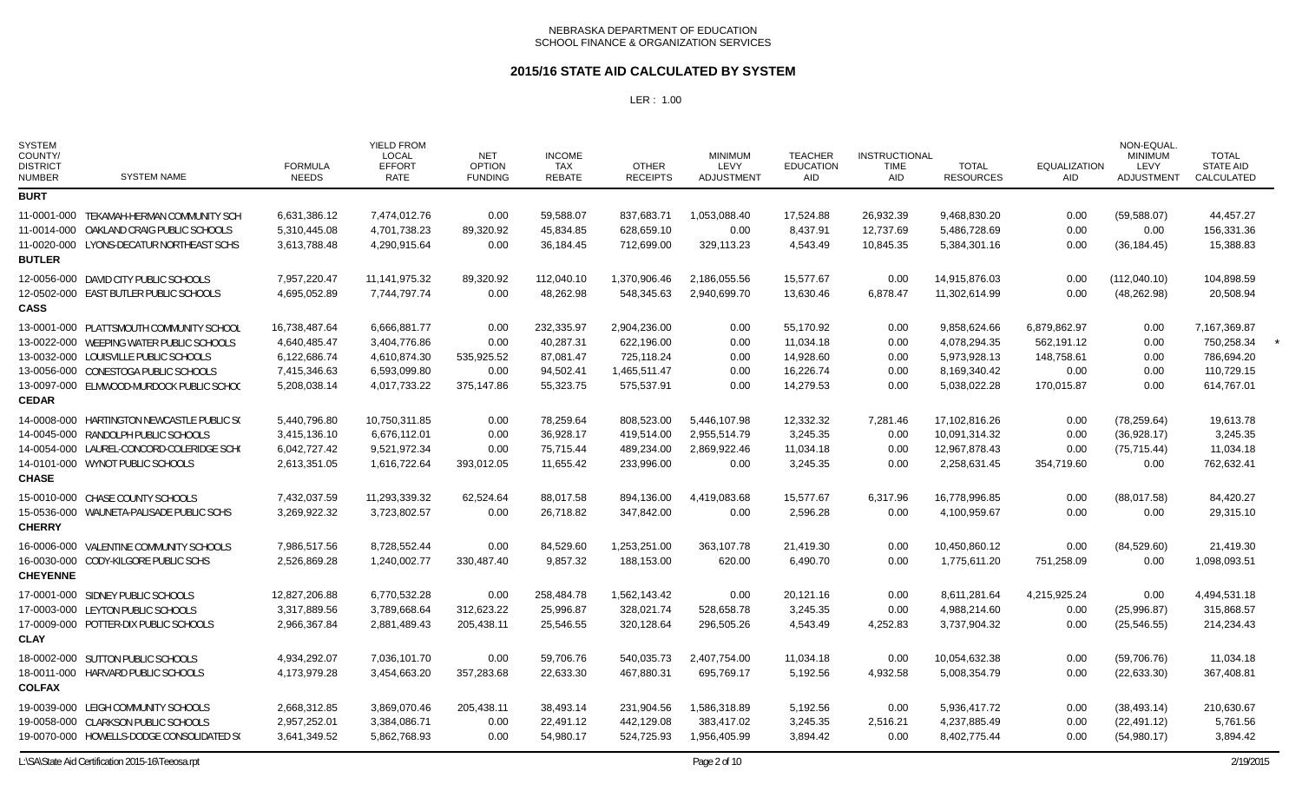### **2015/16 STATE AID CALCULATED BY SYSTEM**

| <b>SYSTEM</b><br>COUNTY/<br><b>DISTRICT</b><br><b>NUMBER</b> | <b>SYSTEM NAME</b>                                                                                                                                                                                                | <b>FORMULA</b><br><b>NEEDS</b>                                                | <b>YIELD FROM</b><br><b>LOCAL</b><br><b>EFFORT</b><br>RATE                   | <b>NET</b><br><b>OPTION</b><br><b>FUNDING</b>    | <b>INCOME</b><br><b>TAX</b><br><b>REBATE</b>                   | <b>OTHER</b><br><b>RECEIPTS</b>                                        | <b>MINIMUM</b><br>LEVY<br><b>ADJUSTMENT</b>          | <b>TEACHER</b><br><b>EDUCATION</b><br>AID                     | <b>INSTRUCTIONAL</b><br><b>TIME</b><br><b>AID</b> | <b>TOTAL</b><br><b>RESOURCES</b>                                             | <b>EQUALIZATION</b><br>AID                                     | NON-EQUAL<br><b>MINIMUM</b><br>LEVY<br><b>ADJUSTMENT</b> | <b>TOTAL</b><br><b>STATE AID</b><br>CALCULATED                       |  |
|--------------------------------------------------------------|-------------------------------------------------------------------------------------------------------------------------------------------------------------------------------------------------------------------|-------------------------------------------------------------------------------|------------------------------------------------------------------------------|--------------------------------------------------|----------------------------------------------------------------|------------------------------------------------------------------------|------------------------------------------------------|---------------------------------------------------------------|---------------------------------------------------|------------------------------------------------------------------------------|----------------------------------------------------------------|----------------------------------------------------------|----------------------------------------------------------------------|--|
| <b>BURT</b>                                                  |                                                                                                                                                                                                                   |                                                                               |                                                                              |                                                  |                                                                |                                                                        |                                                      |                                                               |                                                   |                                                                              |                                                                |                                                          |                                                                      |  |
| <b>BUTLER</b>                                                | 11-0001-000 TEKAMAH-HERMAN COMMUNITY SCH<br>11-0014-000 OAKLAND CRAIG PUBLIC SCHOOLS<br>11-0020-000 LYONS-DECATUR NORTHEAST SCHS                                                                                  | 6,631,386.12<br>5,310,445.08<br>3,613,788.48                                  | 7,474,012.76<br>4,701,738.23<br>4,290,915.64                                 | 0.00<br>89,320.92<br>0.00                        | 59,588.07<br>45,834.85<br>36,184.45                            | 837,683.71<br>628,659.10<br>712,699.00                                 | 1,053,088.40<br>0.00<br>329,113.23                   | 17,524.88<br>8,437.91<br>4,543.49                             | 26,932.39<br>12,737.69<br>10,845.35               | 9,468,830.20<br>5,486,728.69<br>5,384,301.16                                 | 0.00<br>0.00<br>0.00                                           | (59, 588.07)<br>0.00<br>(36, 184.45)                     | 44,457.27<br>156,331.36<br>15,388.83                                 |  |
| <b>CASS</b>                                                  | 12-0056-000 DAVID CITY PUBLIC SCHOOLS<br>12-0502-000 EAST BUTLER PUBLIC SCHOOLS                                                                                                                                   | 7,957,220.47<br>4,695,052.89                                                  | 11, 141, 975. 32<br>7,744,797.74                                             | 89,320.92<br>0.00                                | 112,040.10<br>48,262.98                                        | 1,370,906.46<br>548,345.63                                             | 2,186,055.56<br>2,940,699.70                         | 15,577.67<br>13,630.46                                        | 0.00<br>6,878.47                                  | 14,915,876.03<br>11,302,614.99                                               | 0.00<br>0.00                                                   | (112,040.10)<br>(48, 262.98)                             | 104,898.59<br>20,508.94                                              |  |
| CEDAR                                                        | 13-0001-000 PLATTSMOUTH COMMUNITY SCHOOL<br>13-0022-000 WEEPING WATER PUBLIC SCHOOLS<br>13-0032-000 LOUISVILLE PUBLIC SCHOOLS<br>13-0056-000 CONESTOGA PUBLIC SCHOOLS<br>13-0097-000 ELMWOOD-MURDOCK PUBLIC SCHOO | 16,738,487.64<br>4,640,485.47<br>6,122,686.74<br>7,415,346.63<br>5,208,038.14 | 6,666,881.77<br>3,404,776.86<br>4,610,874.30<br>6,593,099.80<br>4,017,733.22 | 0.00<br>0.00<br>535,925.52<br>0.00<br>375,147.86 | 232,335.97<br>40,287.31<br>87,081.47<br>94,502.41<br>55,323.75 | 2,904,236.00<br>622,196.00<br>725,118.24<br>1,465,511.47<br>575,537.91 | 0.00<br>0.00<br>0.00<br>0.00<br>0.00                 | 55,170.92<br>11,034.18<br>14,928.60<br>16,226.74<br>14,279.53 | 0.00<br>0.00<br>0.00<br>0.00<br>0.00              | 9,858,624.66<br>4,078,294.35<br>5,973,928.13<br>8,169,340.42<br>5,038,022.28 | 6,879,862.97<br>562,191.12<br>148,758.61<br>0.00<br>170,015.87 | 0.00<br>0.00<br>0.00<br>0.00<br>0.00                     | 7,167,369.87<br>750,258.34<br>786,694.20<br>110,729.15<br>614,767.01 |  |
| <b>CHASE</b>                                                 | 14-0008-000 HARTINGTON NEWCASTLE PUBLIC SO<br>14-0045-000 RANDOLPH PUBLIC SCHOOLS<br>14-0054-000 LAUREL-CONCORD-COLERIDGE SCHO<br>14-0101-000 WYNOT PUBLIC SCHOOLS                                                | 5,440,796.80<br>3,415,136.10<br>6,042,727.42<br>2,613,351.05                  | 10,750,311.85<br>6,676,112.01<br>9,521,972.34<br>1,616,722.64                | 0.00<br>0.00<br>0.00<br>393,012.05               | 78,259.64<br>36,928.17<br>75,715.44<br>11,655.42               | 808,523.00<br>419,514.00<br>489,234.00<br>233,996.00                   | 5.446.107.98<br>2,955,514.79<br>2,869,922.46<br>0.00 | 12,332.32<br>3,245.35<br>11,034.18<br>3,245.35                | 7,281.46<br>0.00<br>0.00<br>0.00                  | 17,102,816.26<br>10,091,314.32<br>12,967,878.43<br>2,258,631.45              | 0.00<br>0.00<br>0.00<br>354,719.60                             | (78, 259.64)<br>(36,928.17)<br>(75, 715.44)<br>0.00      | 19,613.78<br>3,245.35<br>11,034.18<br>762,632.41                     |  |
| <b>CHERRY</b>                                                | 15-0010-000 CHASE COUNTY SCHOOLS<br>15-0536-000 WAUNETA-PALISADE PUBLIC SCHS                                                                                                                                      | 7,432,037.59<br>3,269,922.32                                                  | 11,293,339.32<br>3,723,802.57                                                | 62,524.64<br>0.00                                | 88,017.58<br>26,718.82                                         | 894,136.00<br>347,842.00                                               | 4,419,083.68<br>0.00                                 | 15,577.67<br>2,596.28                                         | 6,317.96<br>0.00                                  | 16,778,996.85<br>4,100,959.67                                                | 0.00<br>0.00                                                   | (88,017.58)<br>0.00                                      | 84,420.27<br>29,315.10                                               |  |
| <b>CHEYENNE</b>                                              | 16-0006-000 VALENTINE COMMUNITY SCHOOLS<br>16-0030-000 CODY-KILGORE PUBLIC SCHS                                                                                                                                   | 7,986,517.56<br>2.526.869.28                                                  | 8,728,552.44<br>1,240,002.77                                                 | 0.00<br>330,487.40                               | 84,529.60<br>9,857.32                                          | 1,253,251.00<br>188,153.00                                             | 363,107.78<br>620.00                                 | 21,419.30<br>6,490.70                                         | 0.00<br>0.00                                      | 10,450,860.12<br>1,775,611.20                                                | 0.00<br>751,258.09                                             | (84, 529.60)<br>0.00                                     | 21,419.30<br>1,098,093.51                                            |  |
| <b>CLAY</b>                                                  | 17-0001-000 SIDNEY PUBLIC SCHOOLS<br>17-0003-000 LEYTON PUBLIC SCHOOLS<br>17-0009-000 POTTER-DIX PUBLIC SCHOOLS                                                                                                   | 12,827,206.88<br>3,317,889.56<br>2,966,367.84                                 | 6,770,532.28<br>3,789,668.64<br>2,881,489.43                                 | 0.00<br>312,623.22<br>205,438.11                 | 258,484.78<br>25,996.87<br>25,546.55                           | 1,562,143.42<br>328,021.74<br>320,128.64                               | 0.00<br>528,658.78<br>296,505.26                     | 20,121.16<br>3,245.35<br>4,543.49                             | 0.00<br>0.00<br>4,252.83                          | 8,611,281.64<br>4,988,214.60<br>3,737,904.32                                 | 4,215,925.24<br>0.00<br>0.00                                   | 0.00<br>(25,996.87)<br>(25, 546.55)                      | 4,494,531.18<br>315,868.57<br>214,234.43                             |  |
| <b>COLFAX</b>                                                | 18-0002-000 SUTTON PUBLIC SCHOOLS<br>18-0011-000 HARVARD PUBLIC SCHOOLS                                                                                                                                           | 4,934,292.07<br>4,173,979.28                                                  | 7,036,101.70<br>3,454,663.20                                                 | 0.00<br>357,283.68                               | 59,706.76<br>22,633.30                                         | 540,035.73<br>467,880.31                                               | 2,407,754.00<br>695,769.17                           | 11,034.18<br>5,192.56                                         | 0.00<br>4,932.58                                  | 10,054,632.38<br>5,008,354.79                                                | 0.00<br>0.00                                                   | (59,706.76)<br>(22, 633.30)                              | 11,034.18<br>367,408.81                                              |  |
|                                                              | 19-0039-000 LEIGH COMMUNITY SCHOOLS<br>19-0058-000 CLARKSON PUBLIC SCHOOLS<br>19-0070-000 HOWELLS-DODGE CONSOLIDATED S(                                                                                           | 2,668,312.85<br>2,957,252.01<br>3,641,349.52                                  | 3,869,070.46<br>3,384,086.71<br>5,862,768.93                                 | 205,438.11<br>0.00<br>0.00                       | 38,493.14<br>22,491.12<br>54,980.17                            | 231,904.56<br>442,129.08<br>524,725.93                                 | 1,586,318.89<br>383,417.02<br>1,956,405.99           | 5,192.56<br>3,245.35<br>3,894.42                              | 0.00<br>2,516.21<br>0.00                          | 5,936,417.72<br>4,237,885.49<br>8,402,775.44                                 | 0.00<br>0.00<br>0.00                                           | (38, 493.14)<br>(22, 491.12)<br>(54,980.17)              | 210,630.67<br>5,761.56<br>3,894.42                                   |  |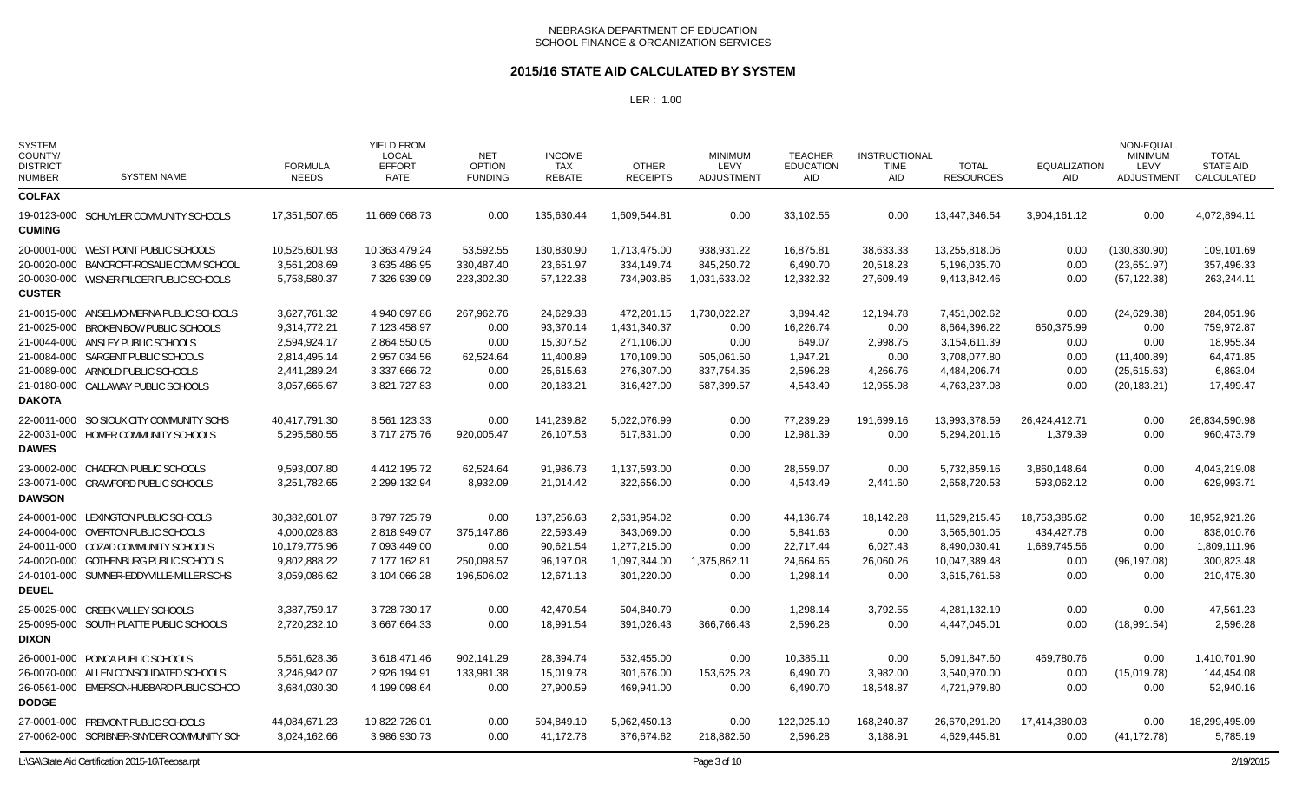#### **2015/16 STATE AID CALCULATED BY SYSTEM**

| <b>SYSTEM</b><br>COUNTY/<br><b>DISTRICT</b><br><b>NUMBER</b> | <b>SYSTEM NAME</b>                        | <b>FORMULA</b><br><b>NEEDS</b> | <b>YIELD FROM</b><br><b>LOCAL</b><br><b>EFFORT</b><br><b>RATE</b> | <b>NET</b><br><b>OPTION</b><br><b>FUNDING</b> | <b>INCOME</b><br><b>TAX</b><br><b>REBATE</b> | <b>OTHER</b><br><b>RECEIPTS</b> | <b>MINIMUM</b><br>LEVY<br>ADJUSTMENT | <b>TEACHER</b><br><b>EDUCATION</b><br>AID | <b>INSTRUCTIONAL</b><br>TIME<br>AID | <b>TOTAL</b><br><b>RESOURCES</b> | <b>EQUALIZATION</b><br>AID | NON-EQUAL<br><b>MINIMUM</b><br>LEVY<br>ADJUSTMENT | <b>TOTAL</b><br><b>STATE AID</b><br>CALCULATED |
|--------------------------------------------------------------|-------------------------------------------|--------------------------------|-------------------------------------------------------------------|-----------------------------------------------|----------------------------------------------|---------------------------------|--------------------------------------|-------------------------------------------|-------------------------------------|----------------------------------|----------------------------|---------------------------------------------------|------------------------------------------------|
| <b>COLFAX</b>                                                |                                           |                                |                                                                   |                                               |                                              |                                 |                                      |                                           |                                     |                                  |                            |                                                   |                                                |
| <b>CUMING</b>                                                | 19-0123-000 SCHUYLER COMMUNITY SCHOOLS    | 17.351.507.65                  | 11.669.068.73                                                     | 0.00                                          | 135.630.44                                   | 1.609.544.81                    | 0.00                                 | 33.102.55                                 | 0.00                                | 13,447,346.54                    | 3,904,161.12               | 0.00                                              | 4.072.894.11                                   |
|                                                              | 20-0001-000 WEST POINT PUBLIC SCHOOLS     | 10,525,601.93                  | 10.363.479.24                                                     | 53,592.55                                     | 130,830.90                                   | 1,713,475.00                    | 938,931.22                           | 16,875.81                                 | 38,633.33                           | 13,255,818.06                    | 0.00                       | (130, 830.90)                                     | 109,101.69                                     |
|                                                              | 20-0020-000 BANCROFT-ROSALIE COMM SCHOOL: | 3,561,208.69                   | 3,635,486.95                                                      | 330,487.40                                    | 23,651.97                                    | 334,149.74                      | 845,250.72                           | 6,490.70                                  | 20,518.23                           | 5,196,035.70                     | 0.00                       | (23,651.97)                                       | 357,496.33                                     |
| <b>CUSTER</b>                                                | 20-0030-000 WISNER-PILGER PUBLIC SCHOOLS  | 5,758,580.37                   | 7,326,939.09                                                      | 223,302.30                                    | 57,122.38                                    | 734,903.85                      | 1,031,633.02                         | 12,332.32                                 | 27,609.49                           | 9,413,842.46                     | 0.00                       | (57, 122.38)                                      | 263,244.11                                     |
|                                                              | 21-0015-000 ANSELMO-MERNA PUBLIC SCHOOLS  | 3,627,761.32                   | 4,940,097.86                                                      | 267,962.76                                    | 24,629.38                                    | 472,201.15                      | 1,730,022.27                         | 3,894.42                                  | 12,194.78                           | 7,451,002.62                     | 0.00                       | (24,629.38)                                       | 284,051.96                                     |
|                                                              | 21-0025-000 BROKEN BOW PUBLIC SCHOOLS     | 9,314,772.21                   | 7,123,458.97                                                      | 0.00                                          | 93,370.14                                    | 1,431,340.37                    | 0.00                                 | 16,226.74                                 | 0.00                                | 8,664,396.22                     | 650,375.99                 | 0.00                                              | 759,972.87                                     |
|                                                              | 21-0044-000 ANSLEY PUBLIC SCHOOLS         | 2,594,924.17                   | 2,864,550.05                                                      | 0.00                                          | 15,307.52                                    | 271,106.00                      | 0.00                                 | 649.07                                    | 2,998.75                            | 3,154,611.39                     | 0.00                       | 0.00                                              | 18,955.34                                      |
|                                                              | 21-0084-000 SARGENT PUBLIC SCHOOLS        | 2,814,495.14                   | 2,957,034.56                                                      | 62,524.64                                     | 11,400.89                                    | 170,109.00                      | 505,061.50                           | 1,947.21                                  | 0.00                                | 3,708,077.80                     | 0.00                       | (11,400.89)                                       | 64,471.85                                      |
|                                                              | 21-0089-000 ARNOLD PUBLIC SCHOOLS         | 2,441,289.24                   | 3,337,666.72                                                      | 0.00                                          | 25,615.63                                    | 276,307.00                      | 837,754.35                           | 2,596.28                                  | 4,266.76                            | 4,484,206.74                     | 0.00                       | (25,615.63)                                       | 6,863.04                                       |
|                                                              | 21-0180-000 CALLAWAY PUBLIC SCHOOLS       | 3,057,665.67                   | 3,821,727.83                                                      | 0.00                                          | 20,183.21                                    | 316,427.00                      | 587,399.57                           | 4,543.49                                  | 12,955.98                           | 4,763,237.08                     | 0.00                       | (20, 183.21)                                      | 17,499.47                                      |
| <b>DAKOTA</b>                                                |                                           |                                |                                                                   |                                               |                                              |                                 |                                      |                                           |                                     |                                  |                            |                                                   |                                                |
|                                                              | 22-0011-000 SO SIOUX CITY COMMUNITY SCHS  | 40,417,791.30                  | 8,561,123.33                                                      | 0.00                                          | 141,239.82                                   | 5,022,076.99                    | 0.00                                 | 77,239.29                                 | 191,699.16                          | 13.993.378.59                    | 26,424,412.71              | 0.00                                              | 26,834,590.98                                  |
| <b>DAWES</b>                                                 | 22-0031-000 HOMER COMMUNITY SCHOOLS       | 5,295,580.55                   | 3,717,275.76                                                      | 920,005.47                                    | 26,107.53                                    | 617,831.00                      | 0.00                                 | 12,981.39                                 | 0.00                                | 5,294,201.16                     | 1,379.39                   | 0.00                                              | 960,473.79                                     |
|                                                              | 23-0002-000 CHADRON PUBLIC SCHOOLS        | 9,593,007.80                   | 4,412,195.72                                                      | 62,524.64                                     | 91,986.73                                    | 1,137,593.00                    | 0.00                                 | 28,559.07                                 | 0.00                                | 5,732,859.16                     | 3,860,148.64               | 0.00                                              | 4,043,219.08                                   |
|                                                              | 23-0071-000 CRAWFORD PUBLIC SCHOOLS       | 3,251,782.65                   | 2,299,132.94                                                      | 8,932.09                                      | 21,014.42                                    | 322,656.00                      | 0.00                                 | 4,543.49                                  | 2,441.60                            | 2,658,720.53                     | 593,062.12                 | 0.00                                              | 629,993.71                                     |
| <b>DAWSON</b>                                                |                                           |                                |                                                                   |                                               |                                              |                                 |                                      |                                           |                                     |                                  |                            |                                                   |                                                |
|                                                              | 24-0001-000 LEXINGTON PUBLIC SCHOOLS      | 30,382,601.07                  | 8,797,725.79                                                      | 0.00                                          | 137,256.63                                   | 2,631,954.02                    | 0.00                                 | 44,136.74                                 | 18,142.28                           | 11,629,215.45                    | 18,753,385.62              | 0.00                                              | 18,952,921.26                                  |
|                                                              | 24-0004-000 OVERTON PUBLIC SCHOOLS        | 4,000,028.83                   | 2,818,949.07                                                      | 375,147.86                                    | 22,593.49                                    | 343,069.00                      | 0.00                                 | 5,841.63                                  | 0.00                                | 3,565,601.05                     | 434,427.78                 | 0.00                                              | 838,010.76                                     |
|                                                              | 24-0011-000 COZAD COMMUNITY SCHOOLS       | 10,179,775.96                  | 7,093,449.00                                                      | 0.00                                          | 90,621.54                                    | 1,277,215.00                    | 0.00                                 | 22,717.44                                 | 6,027.43                            | 8,490,030.41                     | 1,689,745.56               | 0.00                                              | 1,809,111.96                                   |
|                                                              | 24-0020-000 GOTHENBURG PUBLIC SCHOOLS     | 9,802,888.22                   | 7,177,162.81                                                      | 250,098.57                                    | 96,197.08                                    | 1,097,344.00                    | 1,375,862.11                         | 24,664.65                                 | 26,060.26                           | 10,047,389.48                    | 0.00                       | (96, 197.08)                                      | 300,823.48                                     |
|                                                              | 24-0101-000 SUMNER-EDDYVILLE-MILLER SCHS  | 3,059,086.62                   | 3,104,066.28                                                      | 196,506.02                                    | 12,671.13                                    | 301,220.00                      | 0.00                                 | 1,298.14                                  | 0.00                                | 3,615,761.58                     | 0.00                       | 0.00                                              | 210,475.30                                     |
| <b>DEUEL</b>                                                 |                                           |                                |                                                                   |                                               |                                              |                                 |                                      |                                           |                                     |                                  |                            |                                                   |                                                |
|                                                              | 25-0025-000 CREEK VALLEY SCHOOLS          | 3,387,759.17                   | 3.728.730.17                                                      | 0.00                                          | 42.470.54                                    | 504.840.79                      | 0.00                                 | 1,298.14                                  | 3.792.55                            | 4,281,132.19                     | 0.00                       | 0.00                                              | 47.561.23                                      |
|                                                              | 25-0095-000 SOUTH PLATTE PUBLIC SCHOOLS   | 2,720,232.10                   | 3,667,664.33                                                      | 0.00                                          | 18,991.54                                    | 391,026.43                      | 366,766.43                           | 2,596.28                                  | 0.00                                | 4,447,045.01                     | 0.00                       | (18,991.54)                                       | 2,596.28                                       |
| <b>DIXON</b>                                                 |                                           |                                |                                                                   |                                               |                                              |                                 |                                      |                                           |                                     |                                  |                            |                                                   |                                                |
|                                                              | 26-0001-000 PONCA PUBLIC SCHOOLS          | 5,561,628.36                   | 3,618,471.46                                                      | 902,141.29                                    | 28,394.74                                    | 532.455.00                      | 0.00                                 | 10,385.11                                 | 0.00                                | 5,091,847.60                     | 469,780.76                 | 0.00                                              | 1,410,701.90                                   |
|                                                              | 26-0070-000 ALLEN CONSOLIDATED SCHOOLS    | 3,246,942.07                   | 2,926,194.91                                                      | 133,981.38                                    | 15,019.78                                    | 301,676.00                      | 153,625.23                           | 6,490.70                                  | 3,982.00                            | 3,540,970.00                     | 0.00                       | (15,019.78)                                       | 144,454.08                                     |
| <b>DODGE</b>                                                 | 26-0561-000 EMERSON-HUBBARD PUBLIC SCHOOL | 3,684,030.30                   | 4,199,098.64                                                      | 0.00                                          | 27,900.59                                    | 469,941.00                      | 0.00                                 | 6,490.70                                  | 18,548.87                           | 4,721,979.80                     | 0.00                       | 0.00                                              | 52,940.16                                      |
|                                                              | 27-0001-000 FREMONT PUBLIC SCHOOLS        | 44,084,671.23                  | 19,822,726.01                                                     | 0.00                                          | 594.849.10                                   | 5,962,450.13                    | 0.00                                 | 122,025.10                                | 168,240.87                          | 26,670,291.20                    | 17,414,380.03              | 0.00                                              | 18,299,495.09                                  |
|                                                              | 27-0062-000 SCRIBNER-SNYDER COMMUNITY SCH | 3,024,162.66                   | 3.986.930.73                                                      | 0.00                                          | 41.172.78                                    | 376.674.62                      | 218,882.50                           | 2.596.28                                  | 3,188.91                            | 4,629,445.81                     | 0.00                       | (41, 172.78)                                      | 5,785.19                                       |
|                                                              |                                           |                                |                                                                   |                                               |                                              |                                 |                                      |                                           |                                     |                                  |                            |                                                   |                                                |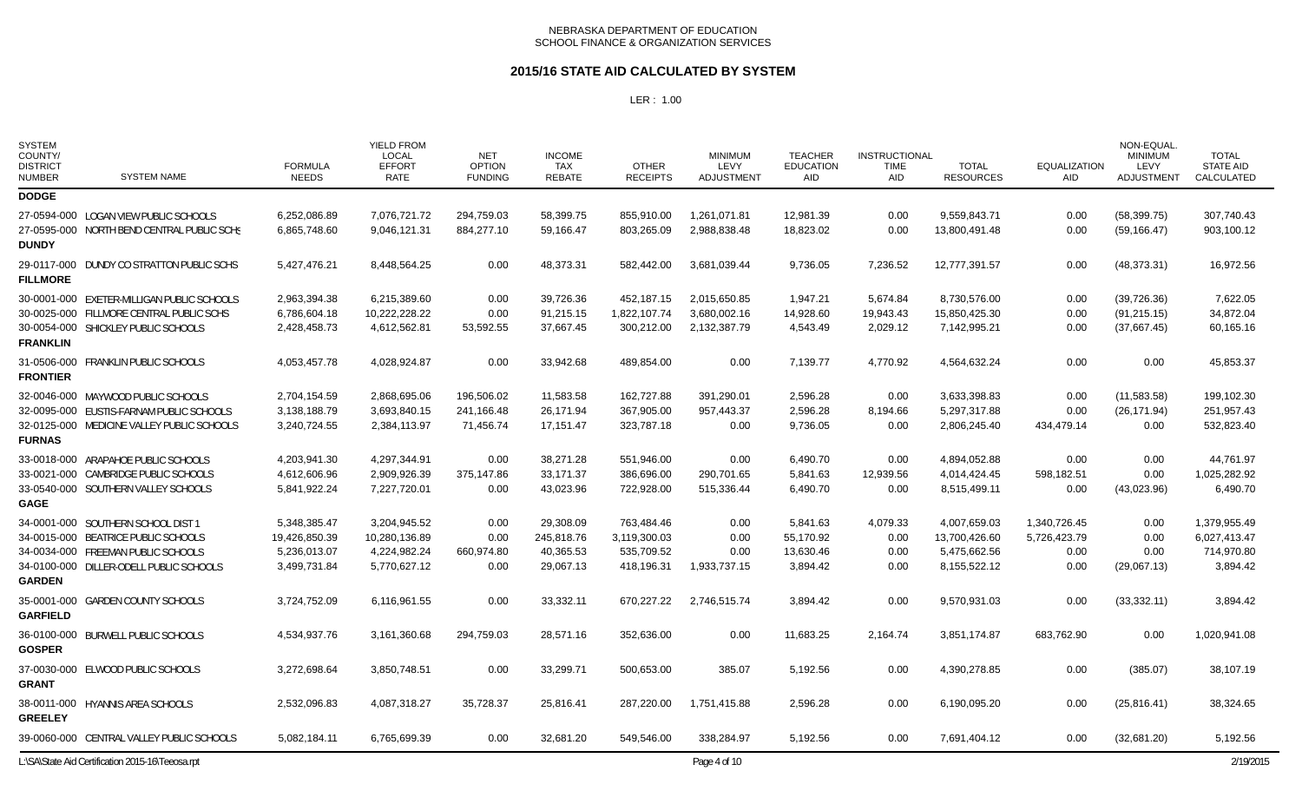### **2015/16 STATE AID CALCULATED BY SYSTEM**

| <b>SYSTEM</b><br>COUNTY/<br><b>DISTRICT</b><br><b>NUMBER</b>                                        | <b>SYSTEM NAME</b> | <b>FORMULA</b><br><b>NEEDS</b> | <b>YIELD FROM</b><br><b>LOCAL</b><br><b>EFFORT</b><br><b>RATE</b> | <b>NET</b><br><b>OPTION</b><br><b>FUNDING</b> | <b>INCOME</b><br><b>TAX</b><br><b>REBATE</b> | <b>OTHER</b><br><b>RECEIPTS</b> | <b>MINIMUM</b><br>LEVY<br><b>ADJUSTMENT</b> | <b>TEACHER</b><br><b>EDUCATION</b><br><b>AID</b> | <b>INSTRUCTIONAL</b><br><b>TIME</b><br><b>AID</b> | <b>TOTAL</b><br><b>RESOURCES</b> | <b>EQUALIZATION</b><br><b>AID</b> | NON-EQUAL<br><b>MINIMUM</b><br>LEVY<br><b>ADJUSTMENT</b> | <b>TOTAL</b><br><b>STATE AID</b><br><b>CALCULATED</b> |
|-----------------------------------------------------------------------------------------------------|--------------------|--------------------------------|-------------------------------------------------------------------|-----------------------------------------------|----------------------------------------------|---------------------------------|---------------------------------------------|--------------------------------------------------|---------------------------------------------------|----------------------------------|-----------------------------------|----------------------------------------------------------|-------------------------------------------------------|
| <b>DODGE</b>                                                                                        |                    |                                |                                                                   |                                               |                                              |                                 |                                             |                                                  |                                                   |                                  |                                   |                                                          |                                                       |
| 27-0594-000 LOGAN VIEW PUBLIC SCHOOLS<br>27-0595-000 NORTH BEND CENTRAL PUBLIC SCHS<br><b>DUNDY</b> |                    | 6,252,086.89<br>6,865,748.60   | 7,076,721.72<br>9,046,121.31                                      | 294,759.03<br>884,277.10                      | 58,399.75<br>59,166.47                       | 855,910.00<br>803,265.09        | 1,261,071.81<br>2,988,838.48                | 12,981.39<br>18,823.02                           | 0.00<br>0.00                                      | 9,559,843.71<br>13,800,491.48    | 0.00<br>0.00                      | (58, 399.75)<br>(59, 166.47)                             | 307.740.43<br>903,100.12                              |
| 29-0117-000 DUNDY CO STRATTON PUBLIC SCHS<br><b>FILLMORE</b>                                        |                    | 5,427,476.21                   | 8,448,564.25                                                      | 0.00                                          | 48,373.31                                    | 582.442.00                      | 3,681,039.44                                | 9,736.05                                         | 7,236.52                                          | 12,777,391.57                    | 0.00                              | (48, 373.31)                                             | 16,972.56                                             |
| 30-0001-000 EXETER-MILLIGAN PUBLIC SCHOOLS                                                          |                    | 2,963,394.38                   | 6.215.389.60                                                      | 0.00                                          | 39.726.36                                    | 452.187.15                      | 2.015.650.85                                | 1,947.21                                         | 5.674.84                                          | 8.730.576.00                     | 0.00                              | (39, 726.36)                                             | 7,622.05                                              |
| 30-0025-000 FILLMORE CENTRAL PUBLIC SCHS                                                            |                    | 6,786,604.18                   | 10,222,228.22                                                     | 0.00                                          | 91,215.15                                    | 1,822,107.74                    | 3,680,002.16                                | 14,928.60                                        | 19,943.43                                         | 15,850,425.30                    | 0.00                              | (91, 215.15)                                             | 34,872.04                                             |
| 30-0054-000 SHICKLEY PUBLIC SCHOOLS<br><b>FRANKLIN</b>                                              |                    | 2,428,458.73                   | 4,612,562.81                                                      | 53,592.55                                     | 37,667.45                                    | 300,212.00                      | 2,132,387.79                                | 4,543.49                                         | 2,029.12                                          | 7,142,995.21                     | 0.00                              | (37,667.45)                                              | 60,165.16                                             |
| 31-0506-000 FRANKLIN PUBLIC SCHOOLS<br><b>FRONTIER</b>                                              |                    | 4,053,457.78                   | 4,028,924.87                                                      | 0.00                                          | 33,942.68                                    | 489.854.00                      | 0.00                                        | 7,139.77                                         | 4,770.92                                          | 4,564,632.24                     | 0.00                              | 0.00                                                     | 45,853.37                                             |
| 32-0046-000 MAYWOOD PUBLIC SCHOOLS                                                                  |                    | 2,704,154.59                   | 2,868,695.06                                                      | 196,506.02                                    | 11,583.58                                    | 162.727.88                      | 391,290.01                                  | 2,596.28                                         | 0.00                                              | 3,633,398.83                     | 0.00                              | (11,583.58)                                              | 199,102.30                                            |
| 32-0095-000 EUSTIS-FARNAM PUBLIC SCHOOLS                                                            |                    | 3,138,188.79                   | 3,693,840.15                                                      | 241,166.48                                    | 26,171.94                                    | 367,905.00                      | 957,443.37                                  | 2,596.28                                         | 8,194.66                                          | 5,297,317.88                     | 0.00                              | (26, 171.94)                                             | 251,957.43                                            |
| 32-0125-000 MEDICINE VALLEY PUBLIC SCHOOLS<br><b>FURNAS</b>                                         |                    | 3,240,724.55                   | 2,384,113.97                                                      | 71,456.74                                     | 17,151.47                                    | 323,787.18                      | 0.00                                        | 9,736.05                                         | 0.00                                              | 2,806,245.40                     | 434,479.14                        | 0.00                                                     | 532,823.40                                            |
| 33-0018-000 ARAPAHOE PUBLIC SCHOOLS                                                                 |                    | 4,203,941.30                   | 4,297,344.91                                                      | 0.00                                          | 38,271.28                                    | 551,946.00                      | 0.00                                        | 6,490.70                                         | 0.00                                              | 4,894,052.88                     | 0.00                              | 0.00                                                     | 44,761.97                                             |
| 33-0021-000 CAMBRIDGE PUBLIC SCHOOLS                                                                |                    | 4,612,606.96                   | 2,909,926.39                                                      | 375,147.86                                    | 33,171.37                                    | 386,696.00                      | 290,701.65                                  | 5,841.63                                         | 12,939.56                                         | 4,014,424.45                     | 598,182.51                        | 0.00                                                     | 1,025,282.92                                          |
| 33-0540-000 SOUTHERN VALLEY SCHOOLS<br><b>GAGE</b>                                                  |                    | 5,841,922.24                   | 7,227,720.01                                                      | 0.00                                          | 43,023.96                                    | 722,928.00                      | 515,336.44                                  | 6,490.70                                         | 0.00                                              | 8,515,499.11                     | 0.00                              | (43,023.96)                                              | 6,490.70                                              |
| 34-0001-000 SOUTHERN SCHOOL DIST 1                                                                  |                    | 5,348,385.47                   | 3,204,945.52                                                      | 0.00                                          | 29,308.09                                    | 763,484.46                      | 0.00                                        | 5,841.63                                         | 4,079.33                                          | 4,007,659.03                     | 1,340,726.45                      | 0.00                                                     | 1,379,955.49                                          |
| 34-0015-000 BEATRICE PUBLIC SCHOOLS                                                                 |                    | 19,426,850.39                  | 10,280,136.89                                                     | 0.00                                          | 245,818.76                                   | 3,119,300.03                    | 0.00                                        | 55.170.92                                        | 0.00                                              | 13,700,426.60                    | 5,726,423.79                      | 0.00                                                     | 6,027,413.47                                          |
| 34-0034-000 FREEMAN PUBLIC SCHOOLS                                                                  |                    | 5,236,013.07                   | 4,224,982.24                                                      | 660,974.80                                    | 40,365.53                                    | 535,709.52                      | 0.00                                        | 13,630.46                                        | 0.00                                              | 5,475,662.56                     | 0.00                              | 0.00                                                     | 714,970.80                                            |
| 34-0100-000 DILLER-ODELL PUBLIC SCHOOLS<br><b>GARDEN</b>                                            |                    | 3,499,731.84                   | 5.770.627.12                                                      | 0.00                                          | 29,067.13                                    | 418,196.31                      | 1,933,737.15                                | 3.894.42                                         | 0.00                                              | 8,155,522.12                     | 0.00                              | (29,067.13)                                              | 3,894.42                                              |
| 35-0001-000 GARDEN COUNTY SCHOOLS<br><b>GARFIELD</b>                                                |                    | 3,724,752.09                   | 6,116,961.55                                                      | 0.00                                          | 33,332.11                                    | 670.227.22                      | 2,746,515.74                                | 3.894.42                                         | 0.00                                              | 9,570,931.03                     | 0.00                              | (33, 332.11)                                             | 3,894.42                                              |
| 36-0100-000 BURWELL PUBLIC SCHOOLS<br><b>GOSPER</b>                                                 |                    | 4,534,937.76                   | 3,161,360.68                                                      | 294,759.03                                    | 28,571.16                                    | 352,636.00                      | 0.00                                        | 11,683.25                                        | 2,164.74                                          | 3,851,174.87                     | 683,762.90                        | 0.00                                                     | 1,020,941.08                                          |
| 37-0030-000 ELWOOD PUBLIC SCHOOLS<br><b>GRANT</b>                                                   |                    | 3,272,698.64                   | 3,850,748.51                                                      | 0.00                                          | 33,299.71                                    | 500,653.00                      | 385.07                                      | 5,192.56                                         | 0.00                                              | 4,390,278.85                     | 0.00                              | (385.07)                                                 | 38,107.19                                             |
| 38-0011-000 HYANNIS AREA SCHOOLS<br><b>GREELEY</b>                                                  |                    | 2,532,096.83                   | 4,087,318.27                                                      | 35,728.37                                     | 25,816.41                                    | 287,220.00                      | 1,751,415.88                                | 2,596.28                                         | 0.00                                              | 6,190,095.20                     | 0.00                              | (25, 816.41)                                             | 38,324.65                                             |
| 39-0060-000 CENTRAL VALLEY PUBLIC SCHOOLS                                                           |                    | 5,082,184.11                   | 6,765,699.39                                                      | 0.00                                          | 32,681.20                                    | 549.546.00                      | 338,284.97                                  | 5,192.56                                         | 0.00                                              | 7,691,404.12                     | 0.00                              | (32,681.20)                                              | 5,192.56                                              |
| L:\SA\State Aid Certification 2015-16\Teeosa.rpt                                                    |                    |                                |                                                                   |                                               |                                              |                                 | Page 4 of 10                                |                                                  |                                                   |                                  |                                   |                                                          | 2/19/2015                                             |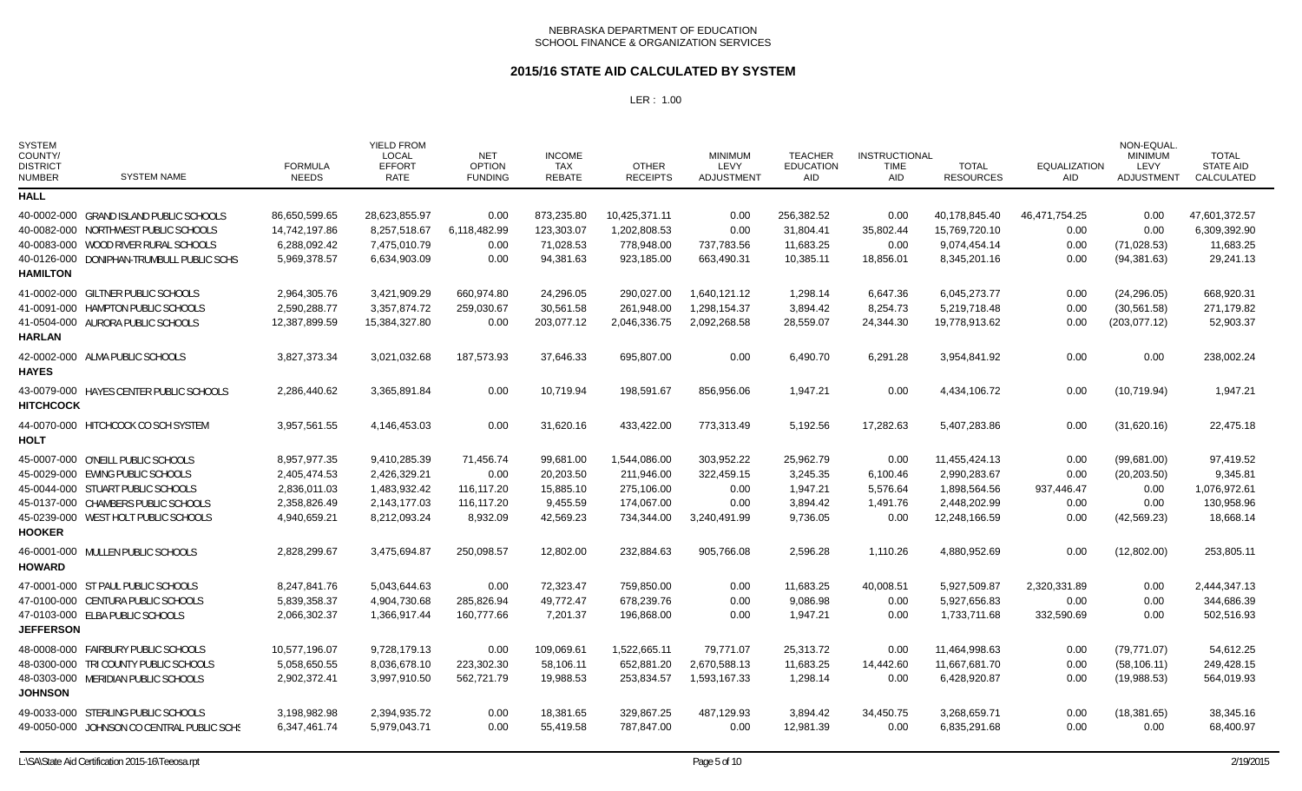### **2015/16 STATE AID CALCULATED BY SYSTEM**

| <b>SYSTEM</b><br>COUNTY/<br><b>DISTRICT</b><br><b>NUMBER</b> | <b>SYSTEM NAME</b>                         | <b>FORMULA</b><br><b>NEEDS</b> | <b>YIELD FROM</b><br><b>LOCAL</b><br><b>EFFORT</b><br><b>RATE</b> | <b>NET</b><br><b>OPTION</b><br><b>FUNDING</b> | <b>INCOME</b><br>TAX<br><b>REBATE</b> | <b>OTHER</b><br><b>RECEIPTS</b> | <b>MINIMUM</b><br>LEVY<br><b>ADJUSTMENT</b> | <b>TEACHER</b><br><b>EDUCATION</b><br>AID | <b>INSTRUCTIONAL</b><br>TIME<br>AID | <b>TOTAL</b><br><b>RESOURCES</b> | <b>EQUALIZATION</b><br><b>AID</b> | NON-EQUAL.<br><b>MINIMUM</b><br>LEVY<br><b>ADJUSTMENT</b> | <b>TOTAL</b><br><b>STATE AID</b><br><b>CALCULATED</b> |
|--------------------------------------------------------------|--------------------------------------------|--------------------------------|-------------------------------------------------------------------|-----------------------------------------------|---------------------------------------|---------------------------------|---------------------------------------------|-------------------------------------------|-------------------------------------|----------------------------------|-----------------------------------|-----------------------------------------------------------|-------------------------------------------------------|
| <b>HALL</b>                                                  |                                            |                                |                                                                   |                                               |                                       |                                 |                                             |                                           |                                     |                                  |                                   |                                                           |                                                       |
|                                                              | 40-0002-000 GRAND ISLAND PUBLIC SCHOOLS    | 86,650,599.65                  | 28,623,855.97                                                     | 0.00                                          | 873,235.80                            | 10,425,371.11                   | 0.00                                        | 256,382.52                                | 0.00                                | 40,178,845.40                    | 46,471,754.25                     | 0.00                                                      | 47,601,372.57                                         |
|                                                              | 40-0082-000 NORTHWEST PUBLIC SCHOOLS       | 14,742,197.86                  | 8,257,518.67                                                      | 6,118,482.99                                  | 123,303.07                            | 1,202,808.53                    | 0.00                                        | 31,804.41                                 | 35,802.44                           | 15,769,720.10                    | 0.00                              | 0.00                                                      | 6,309,392.90                                          |
|                                                              | 40-0083-000 WOOD RIVER RURAL SCHOOLS       | 6,288,092.42                   | 7,475,010.79                                                      | 0.00                                          | 71,028.53                             | 778,948.00                      | 737,783.56                                  | 11,683.25                                 | 0.00                                | 9,074,454.14                     | 0.00                              | (71, 028.53)                                              | 11,683.25                                             |
|                                                              | 40-0126-000 DONIPHAN-TRUMBULL PUBLIC SCHS  | 5,969,378.57                   | 6,634,903.09                                                      | 0.00                                          | 94,381.63                             | 923,185.00                      | 663,490.31                                  | 10,385.11                                 | 18,856.01                           | 8,345,201.16                     | 0.00                              | (94, 381.63)                                              | 29,241.13                                             |
| <b>HAMILTON</b>                                              |                                            |                                |                                                                   |                                               |                                       |                                 |                                             |                                           |                                     |                                  |                                   |                                                           |                                                       |
|                                                              | 41-0002-000 GILTNER PUBLIC SCHOOLS         | 2,964,305.76                   | 3,421,909.29                                                      | 660,974.80                                    | 24.296.05                             | 290.027.00                      | 1.640.121.12                                | 1,298.14                                  | 6.647.36                            | 6.045.273.77                     | 0.00                              | (24, 296.05)                                              | 668,920.31                                            |
|                                                              | 41-0091-000 HAMPTON PUBLIC SCHOOLS         | 2,590,288.77                   | 3,357,874.72                                                      | 259,030.67                                    | 30,561.58                             | 261.948.00                      | 1,298,154.37                                | 3,894.42                                  | 8,254.73                            | 5,219,718.48                     | 0.00                              | (30, 561.58)                                              | 271,179.82                                            |
|                                                              | 41-0504-000 AURORA PUBLIC SCHOOLS          | 12,387,899.59                  | 15,384,327.80                                                     | 0.00                                          | 203,077.12                            | 2,046,336.75                    | 2,092,268.58                                | 28,559.07                                 | 24,344.30                           | 19,778,913.62                    | 0.00                              | (203, 077.12)                                             | 52,903.37                                             |
| <b>HARLAN</b>                                                |                                            |                                |                                                                   |                                               |                                       |                                 |                                             |                                           |                                     |                                  |                                   |                                                           |                                                       |
| <b>HAYES</b>                                                 | 42-0002-000 ALMA PUBLIC SCHOOLS            | 3,827,373.34                   | 3,021,032.68                                                      | 187,573.93                                    | 37,646.33                             | 695,807.00                      | 0.00                                        | 6,490.70                                  | 6,291.28                            | 3,954,841.92                     | 0.00                              | 0.00                                                      | 238,002.24                                            |
| <b>HITCHCOCK</b>                                             | 43-0079-000 HAYES CENTER PUBLIC SCHOOLS    | 2,286,440.62                   | 3,365,891.84                                                      | 0.00                                          | 10,719.94                             | 198,591.67                      | 856,956.06                                  | 1,947.21                                  | 0.00                                | 4,434,106.72                     | 0.00                              | (10,719.94)                                               | 1,947.21                                              |
| <b>HOLT</b>                                                  | 44-0070-000 HITCHCOCK CO SCH SYSTEM        | 3,957,561.55                   | 4,146,453.03                                                      | 0.00                                          | 31,620.16                             | 433,422.00                      | 773,313.49                                  | 5,192.56                                  | 17,282.63                           | 5,407,283.86                     | 0.00                              | (31,620.16)                                               | 22,475.18                                             |
|                                                              | 45-0007-000 O'NEILL PUBLIC SCHOOLS         | 8,957,977.35                   | 9,410,285.39                                                      | 71,456.74                                     | 99,681.00                             | 1,544,086.00                    | 303,952.22                                  | 25,962.79                                 | 0.00                                | 11,455,424.13                    | 0.00                              | (99,681.00)                                               | 97,419.52                                             |
|                                                              | 45-0029-000 EWING PUBLIC SCHOOLS           | 2,405,474.53                   | 2,426,329.21                                                      | 0.00                                          | 20,203.50                             | 211,946.00                      | 322,459.15                                  | 3,245.35                                  | 6,100.46                            | 2,990,283.67                     | 0.00                              | (20, 203.50)                                              | 9,345.81                                              |
|                                                              | 45-0044-000 STUART PUBLIC SCHOOLS          | 2,836,011.03                   | 1,483,932.42                                                      | 116,117.20                                    | 15,885.10                             | 275,106.00                      | 0.00                                        | 1,947.21                                  | 5,576.64                            | 1,898,564.56                     | 937,446.47                        | 0.00                                                      | 1,076,972.61                                          |
|                                                              | 45-0137-000 CHAMBERS PUBLIC SCHOOLS        | 2,358,826.49                   | 2,143,177.03                                                      | 116,117.20                                    | 9,455.59                              | 174,067.00                      | 0.00                                        | 3,894.42                                  | 1,491.76                            | 2,448,202.99                     | 0.00                              | 0.00                                                      | 130,958.96                                            |
|                                                              | 45-0239-000 WEST HOLT PUBLIC SCHOOLS       | 4,940,659.21                   | 8,212,093.24                                                      | 8,932.09                                      | 42,569.23                             | 734,344.00                      | 3,240,491.99                                | 9,736.05                                  | 0.00                                | 12,248,166.59                    | 0.00                              | (42, 569.23)                                              | 18,668.14                                             |
| <b>HOOKER</b>                                                |                                            |                                |                                                                   |                                               |                                       |                                 |                                             |                                           |                                     |                                  |                                   |                                                           |                                                       |
| HOWARD                                                       | 46-0001-000 MULLEN PUBLIC SCHOOLS          | 2,828,299.67                   | 3,475,694.87                                                      | 250,098.57                                    | 12,802.00                             | 232,884.63                      | 905,766.08                                  | 2,596.28                                  | 1,110.26                            | 4,880,952.69                     | 0.00                              | (12,802.00)                                               | 253,805.11                                            |
|                                                              | 47-0001-000 ST PAUL PUBLIC SCHOOLS         | 8,247,841.76                   | 5,043,644.63                                                      | 0.00                                          | 72,323.47                             | 759,850.00                      | 0.00                                        | 11,683.25                                 | 40,008.51                           | 5,927,509.87                     | 2,320,331.89                      | 0.00                                                      | 2,444,347.13                                          |
|                                                              | 47-0100-000 CENTURA PUBLIC SCHOOLS         | 5,839,358.37                   | 4,904,730.68                                                      | 285,826.94                                    | 49,772.47                             | 678,239.76                      | 0.00                                        | 9,086.98                                  | 0.00                                | 5,927,656.83                     | 0.00                              | 0.00                                                      | 344,686.39                                            |
|                                                              | 47-0103-000 ELBA PUBLIC SCHOOLS            | 2,066,302.37                   | 1,366,917.44                                                      | 160,777.66                                    | 7,201.37                              | 196,868.00                      | 0.00                                        | 1,947.21                                  | 0.00                                | 1,733,711.68                     | 332,590.69                        | 0.00                                                      | 502,516.93                                            |
| <b>JEFFERSON</b>                                             |                                            |                                |                                                                   |                                               |                                       |                                 |                                             |                                           |                                     |                                  |                                   |                                                           |                                                       |
|                                                              | 48-0008-000 FAIRBURY PUBLIC SCHOOLS        | 10,577,196.07                  | 9,728,179.13                                                      | 0.00                                          | 109,069.61                            | 1,522,665.11                    | 79.771.07                                   | 25,313.72                                 | 0.00                                | 11,464,998.63                    | 0.00                              | (79, 771.07)                                              | 54,612.25                                             |
|                                                              | 48-0300-000 TRI COUNTY PUBLIC SCHOOLS      | 5,058,650.55                   | 8,036,678.10                                                      | 223,302.30                                    | 58,106.11                             | 652,881.20                      | 2,670,588.13                                | 11,683.25                                 | 14,442.60                           | 11,667,681.70                    | 0.00                              | (58, 106.11)                                              | 249,428.15                                            |
| <b>JOHNSON</b>                                               | 48-0303-000 MERIDIAN PUBLIC SCHOOLS        | 2,902,372.41                   | 3,997,910.50                                                      | 562,721.79                                    | 19,988.53                             | 253,834.57                      | 1,593,167.33                                | 1,298.14                                  | 0.00                                | 6,428,920.87                     | 0.00                              | (19,988.53)                                               | 564,019.93                                            |
|                                                              | 49-0033-000 STERLING PUBLIC SCHOOLS        | 3,198,982.98                   | 2,394,935.72                                                      | 0.00                                          | 18,381.65                             | 329,867.25                      | 487,129.93                                  | 3,894.42                                  | 34,450.75                           | 3,268,659.71                     | 0.00                              | (18, 381.65)                                              | 38,345.16                                             |
|                                                              | 49-0050-000 JOHNSON CO CENTRAL PUBLIC SCHS | 6,347,461.74                   | 5,979,043.71                                                      | 0.00                                          | 55,419.58                             | 787,847.00                      | 0.00                                        | 12,981.39                                 | 0.00                                | 6,835,291.68                     | 0.00                              | 0.00                                                      | 68,400.97                                             |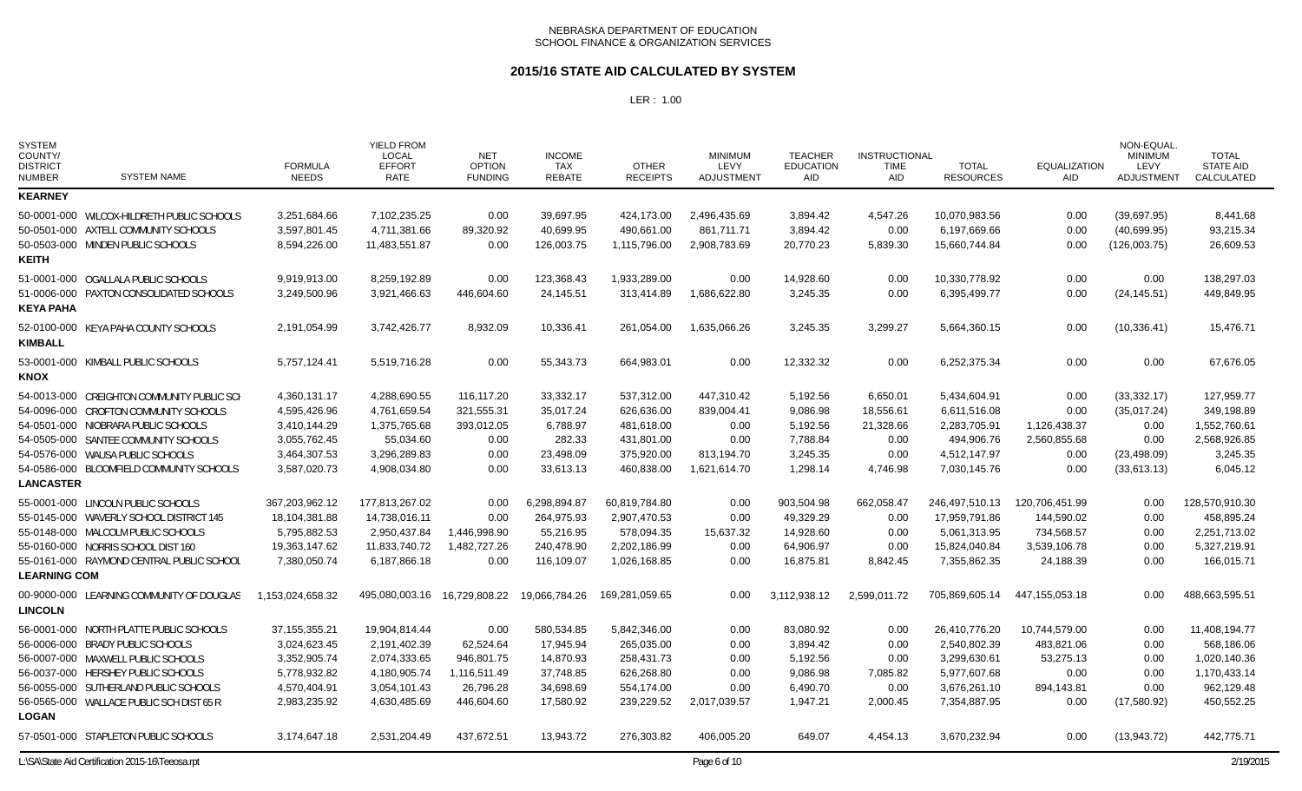### **2015/16 STATE AID CALCULATED BY SYSTEM**

| <b>SYSTEM</b><br>COUNTY/<br><b>DISTRICT</b><br><b>NUMBER</b> | <b>SYSTEM NAME</b>                                                                                                                                                                                                                                 | <b>FORMULA</b><br><b>NEEDS</b>                                                                | <b>YIELD FROM</b><br><b>LOCAL</b><br><b>EFFORT</b><br><b>RATE</b>                             | <b>NET</b><br><b>OPTION</b><br><b>FUNDING</b>                              | <b>INCOME</b><br><b>TAX</b><br><b>REBATE</b>                                | <b>OTHER</b><br><b>RECEIPTS</b>                                                    | <b>MINIMUM</b><br>LEVY<br><b>ADJUSTMENT</b>                            | <b>TEACHER</b><br><b>EDUCATION</b><br>AID                             | <b>INSTRUCTIONAL</b><br><b>TIME</b><br><b>AID</b>              | <b>TOTAL</b><br><b>RESOURCES</b>                                                              | <b>EQUALIZATION</b><br><b>AID</b>                                       | NON-EQUAL.<br><b>MINIMUM</b><br>LEVY<br><b>ADJUSTMENT</b>                  | <b>TOTAL</b><br><b>STATE AID</b><br>CALCULATED                                          |
|--------------------------------------------------------------|----------------------------------------------------------------------------------------------------------------------------------------------------------------------------------------------------------------------------------------------------|-----------------------------------------------------------------------------------------------|-----------------------------------------------------------------------------------------------|----------------------------------------------------------------------------|-----------------------------------------------------------------------------|------------------------------------------------------------------------------------|------------------------------------------------------------------------|-----------------------------------------------------------------------|----------------------------------------------------------------|-----------------------------------------------------------------------------------------------|-------------------------------------------------------------------------|----------------------------------------------------------------------------|-----------------------------------------------------------------------------------------|
| <b>KEARNEY</b>                                               |                                                                                                                                                                                                                                                    |                                                                                               |                                                                                               |                                                                            |                                                                             |                                                                                    |                                                                        |                                                                       |                                                                |                                                                                               |                                                                         |                                                                            |                                                                                         |
| <b>KEITH</b>                                                 | 50-0001-000 WILCOX-HILDRETH PUBLIC SCHOOLS<br>50-0501-000 AXTELL COMMUNITY SCHOOLS<br>50-0503-000 MINDEN PUBLIC SCHOOLS                                                                                                                            | 3.251.684.66<br>3,597,801.45<br>8,594,226.00                                                  | 7,102,235.25<br>4,711,381.66<br>11,483,551.87                                                 | 0.00<br>89,320.92<br>0.00                                                  | 39.697.95<br>40,699.95<br>126,003.75                                        | 424,173.00<br>490,661.00<br>1,115,796.00                                           | 2,496,435.69<br>861,711.71<br>2,908,783.69                             | 3,894.42<br>3,894.42<br>20,770.23                                     | 4,547.26<br>0.00<br>5,839.30                                   | 10.070.983.56<br>6,197,669.66<br>15,660,744.84                                                | 0.00<br>0.00<br>0.00                                                    | (39,697.95)<br>(40,699.95)<br>(126,003.75)                                 | 8,441.68<br>93,215.34<br>26,609.53                                                      |
| <b>KEYA PAHA</b>                                             | 51-0001-000 OGALLALA PUBLIC SCHOOLS<br>51-0006-000 PAXTON CONSOLIDATED SCHOOLS                                                                                                                                                                     | 9,919,913.00<br>3,249,500.96                                                                  | 8,259,192.89<br>3,921,466.63                                                                  | 0.00<br>446,604.60                                                         | 123,368.43<br>24,145.51                                                     | 1,933,289.00<br>313,414.89                                                         | 0.00<br>1,686,622.80                                                   | 14,928.60<br>3,245.35                                                 | 0.00<br>0.00                                                   | 10,330,778.92<br>6.395.499.77                                                                 | 0.00<br>0.00                                                            | 0.00<br>(24, 145.51)                                                       | 138,297.03<br>449,849.95                                                                |
| <b>KIMBALL</b>                                               | 52-0100-000 KEYA PAHA COUNTY SCHOOLS                                                                                                                                                                                                               | 2,191,054.99                                                                                  | 3,742,426.77                                                                                  | 8,932.09                                                                   | 10,336.41                                                                   | 261,054.00                                                                         | 1,635,066.26                                                           | 3,245.35                                                              | 3,299.27                                                       | 5,664,360.15                                                                                  | 0.00                                                                    | (10, 336.41)                                                               | 15,476.71                                                                               |
| <b>KNOX</b>                                                  | 53-0001-000 KIMBALL PUBLIC SCHOOLS                                                                                                                                                                                                                 | 5.757.124.41                                                                                  | 5.519.716.28                                                                                  | 0.00                                                                       | 55.343.73                                                                   | 664.983.01                                                                         | 0.00                                                                   | 12.332.32                                                             | 0.00                                                           | 6.252.375.34                                                                                  | 0.00                                                                    | 0.00                                                                       | 67.676.05                                                                               |
| <b>LANCASTER</b>                                             | 54-0013-000 CREIGHTON COMMUNITY PUBLIC SCH<br>54-0096-000 CROFTON COMMUNITY SCHOOLS<br>54-0501-000 NIOBRARA PUBLIC SCHOOLS<br>54-0505-000 SANTEE COMMUNITY SCHOOLS<br>54-0576-000 WAUSA PUBLIC SCHOOLS<br>54-0586-000 BLOOMFIELD COMMUNITY SCHOOLS | 4,360,131.17<br>4,595,426.96<br>3,410,144.29<br>3,055,762.45<br>3,464,307.53<br>3,587,020.73  | 4,288,690.55<br>4,761,659.54<br>1,375,765.68<br>55,034.60<br>3,296,289.83<br>4,908,034.80     | 116,117.20<br>321,555.31<br>393,012.05<br>0.00<br>0.00<br>0.00             | 33,332.17<br>35,017.24<br>6,788.97<br>282.33<br>23,498.09<br>33,613.13      | 537,312.00<br>626,636.00<br>481,618.00<br>431,801.00<br>375,920.00<br>460,838.00   | 447,310.42<br>839,004.41<br>0.00<br>0.00<br>813,194.70<br>1,621,614.70 | 5,192.56<br>9,086.98<br>5,192.56<br>7,788.84<br>3,245.35<br>1,298.14  | 6,650.01<br>18,556.61<br>21,328.66<br>0.00<br>0.00<br>4,746.98 | 5,434,604.91<br>6,611,516.08<br>2,283,705.91<br>494,906.76<br>4,512,147.97<br>7,030,145.76    | 0.00<br>0.00<br>1,126,438.37<br>2,560,855.68<br>0.00<br>0.00            | (33, 332.17)<br>(35,017.24)<br>0.00<br>0.00<br>(23, 498.09)<br>(33,613.13) | 127,959.77<br>349,198.89<br>1,552,760.61<br>2,568,926.85<br>3,245.35<br>6,045.12        |
| <b>LEARNING COM</b>                                          | 55-0001-000 LINCOLN PUBLIC SCHOOLS<br>55-0145-000 WAVERLY SCHOOL DISTRICT 145<br>55-0148-000 MALCOLM PUBLIC SCHOOLS<br>55-0160-000 NORRIS SCHOOL DIST 160<br>55-0161-000 RAYMOND CENTRAL PUBLIC SCHOOL                                             | 367,203,962.12<br>18,104,381.88<br>5,795,882.53<br>19,363,147.62<br>7,380,050.74              | 177,813,267.02<br>14,738,016.11<br>2,950,437.84<br>11,833,740.72<br>6,187,866.18              | 0.00<br>0.00<br>1,446,998.90<br>1,482,727.26<br>0.00                       | 6,298,894.87<br>264,975.93<br>55.216.95<br>240,478.90<br>116,109.07         | 60,819,784.80<br>2,907,470.53<br>578,094.35<br>2,202,186.99<br>1,026,168.85        | 0.00<br>0.00<br>15,637.32<br>0.00<br>0.00                              | 903,504.98<br>49,329.29<br>14,928.60<br>64,906.97<br>16,875.81        | 662,058.47<br>0.00<br>0.00<br>0.00<br>8,842.45                 | 246,497,510.13<br>17,959,791.86<br>5.061.313.95<br>15,824,040.84<br>7,355,862.35              | 120,706,451.99<br>144,590.02<br>734,568.57<br>3,539,106.78<br>24,188.39 | 0.00<br>0.00<br>0.00<br>0.00<br>0.00                                       | 128,570,910.30<br>458,895.24<br>2,251,713.02<br>5,327,219.91<br>166,015.71              |
| <b>LINCOLN</b>                                               | 00-9000-000 LEARNING COMMUNITY OF DOUGLAS                                                                                                                                                                                                          | 1,153,024,658.32                                                                              | 495,080,003.16                                                                                | 16,729,808.22                                                              | 19,066,784.26                                                               | 169,281,059.65                                                                     | 0.00                                                                   | 3,112,938.12                                                          | 2,599,011.72                                                   | 705,869,605.14                                                                                | 447,155,053.18                                                          | 0.00                                                                       | 488,663,595.51                                                                          |
| <b>LOGAN</b>                                                 | 56-0001-000 NORTH PLATTE PUBLIC SCHOOLS<br>56-0006-000 BRADY PUBLIC SCHOOLS<br>56-0007-000 MAXWELL PUBLIC SCHOOLS<br>56-0037-000 HERSHEY PUBLIC SCHOOLS<br>56-0055-000 SUTHERLAND PUBLIC SCHOOLS<br>56-0565-000 WALLACE PUBLIC SCH DIST 65 R       | 37.155.355.21<br>3,024,623.45<br>3,352,905.74<br>5,778,932.82<br>4,570,404.91<br>2,983,235.92 | 19.904.814.44<br>2,191,402.39<br>2,074,333.65<br>4,180,905.74<br>3,054,101.43<br>4,630,485.69 | 0.00<br>62,524.64<br>946,801.75<br>1,116,511.49<br>26,796.28<br>446.604.60 | 580.534.85<br>17,945.94<br>14,870.93<br>37,748.85<br>34,698.69<br>17,580.92 | 5.842.346.00<br>265,035.00<br>258,431.73<br>626,268.80<br>554,174.00<br>239,229.52 | 0.00<br>0.00<br>0.00<br>0.00<br>0.00<br>2,017,039.57                   | 83.080.92<br>3,894.42<br>5,192.56<br>9,086.98<br>6,490.70<br>1,947.21 | 0.00<br>0.00<br>0.00<br>7,085.82<br>0.00<br>2,000.45           | 26.410.776.20<br>2,540,802.39<br>3.299.630.61<br>5,977,607.68<br>3,676,261.10<br>7,354,887.95 | 10.744.579.00<br>483,821.06<br>53,275.13<br>0.00<br>894,143.81<br>0.00  | 0.00<br>0.00<br>0.00<br>0.00<br>0.00<br>(17,580.92)                        | 11.408.194.77<br>568,186.06<br>1,020,140.36<br>1,170,433.14<br>962,129.48<br>450,552.25 |
|                                                              | 57-0501-000 STAPLETON PUBLIC SCHOOLS                                                                                                                                                                                                               | 3,174,647.18                                                                                  | 2,531,204.49                                                                                  | 437,672.51                                                                 | 13,943.72                                                                   | 276,303.82                                                                         | 406,005.20                                                             | 649.07                                                                | 4,454.13                                                       | 3,670,232.94                                                                                  | 0.00                                                                    | (13,943.72)                                                                | 442,775.71                                                                              |
|                                                              | L:\SA\State Aid Certification 2015-16\Teeosa.rpt                                                                                                                                                                                                   |                                                                                               |                                                                                               |                                                                            |                                                                             |                                                                                    | Page 6 of 10                                                           |                                                                       |                                                                |                                                                                               |                                                                         |                                                                            | 2/19/2015                                                                               |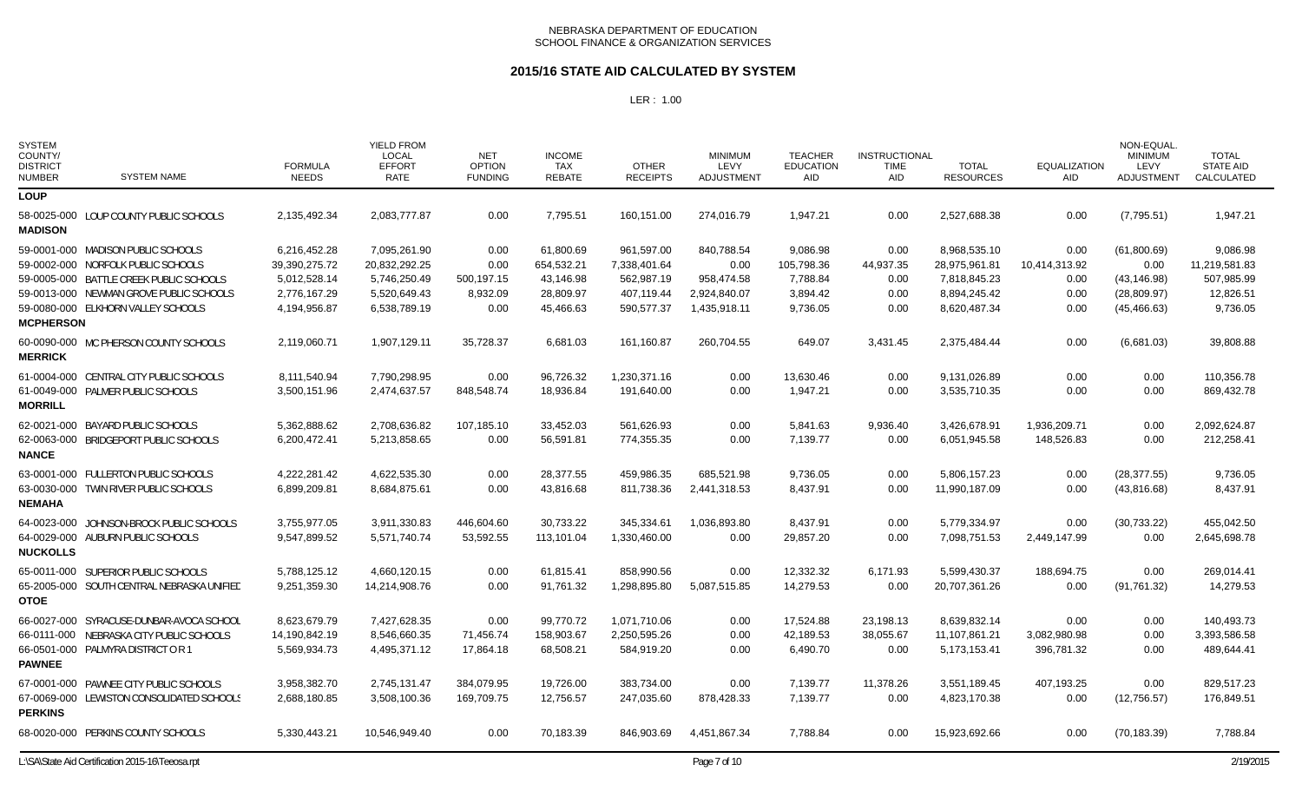### **2015/16 STATE AID CALCULATED BY SYSTEM**

| <b>SYSTEM</b><br>COUNTY/<br><b>DISTRICT</b><br><b>NUMBER</b> | <b>SYSTEM NAME</b>                               | <b>FORMULA</b><br><b>NEEDS</b> | <b>YIELD FROM</b><br><b>LOCAL</b><br><b>EFFORT</b><br>RATE | <b>NET</b><br><b>OPTION</b><br><b>FUNDING</b> | <b>INCOME</b><br><b>TAX</b><br><b>REBATE</b> | <b>OTHER</b><br><b>RECEIPTS</b> | <b>MINIMUM</b><br>LEVY<br><b>ADJUSTMENT</b> | <b>TEACHER</b><br><b>EDUCATION</b><br><b>AID</b> | <b>INSTRUCTIONAL</b><br><b>TIME</b><br>AID | <b>TOTAL</b><br><b>RESOURCES</b> | <b>EQUALIZATION</b><br><b>AID</b> | NON-EQUAL<br><b>MINIMUM</b><br>LEVY<br><b>ADJUSTMENT</b> | <b>TOTAL</b><br><b>STATE AID</b><br>CALCULATED |
|--------------------------------------------------------------|--------------------------------------------------|--------------------------------|------------------------------------------------------------|-----------------------------------------------|----------------------------------------------|---------------------------------|---------------------------------------------|--------------------------------------------------|--------------------------------------------|----------------------------------|-----------------------------------|----------------------------------------------------------|------------------------------------------------|
| <b>LOUP</b>                                                  |                                                  |                                |                                                            |                                               |                                              |                                 |                                             |                                                  |                                            |                                  |                                   |                                                          |                                                |
| <b>MADISON</b>                                               | 58-0025-000 LOUP COUNTY PUBLIC SCHOOLS           | 2,135,492.34                   | 2,083,777.87                                               | 0.00                                          | 7,795.51                                     | 160,151.00                      | 274,016.79                                  | 1,947.21                                         | 0.00                                       | 2,527,688.38                     | 0.00                              | (7,795.51)                                               | 1,947.21                                       |
|                                                              | 59-0001-000 MADISON PUBLIC SCHOOLS               | 6,216,452.28                   | 7,095,261.90                                               | 0.00                                          | 61,800.69                                    | 961,597.00                      | 840,788.54                                  | 9,086.98                                         | 0.00                                       | 8,968,535.10                     | 0.00                              | (61,800.69)                                              | 9,086.98                                       |
|                                                              | 59-0002-000 NORFOLK PUBLIC SCHOOLS               | 39,390,275.72                  | 20,832,292.25                                              | 0.00                                          | 654,532.21                                   | 7,338,401.64                    | 0.00                                        | 105,798.36                                       | 44,937.35                                  | 28,975,961.81                    | 10,414,313.92                     | 0.00                                                     | 11,219,581.83                                  |
|                                                              | 59-0005-000 BATTLE CREEK PUBLIC SCHOOLS          | 5,012,528.14                   | 5,746,250.49                                               | 500,197.15                                    | 43,146.98                                    | 562,987.19                      | 958,474.58                                  | 7,788.84                                         | 0.00                                       | 7,818,845.23                     | 0.00                              | (43, 146.98)                                             | 507,985.99                                     |
|                                                              | 59-0013-000 NEWMAN GROVE PUBLIC SCHOOLS          | 2,776,167.29                   | 5,520,649.43                                               | 8,932.09                                      | 28,809.97                                    | 407,119.44                      | 2,924,840.07                                | 3,894.42                                         | 0.00                                       | 8,894,245.42                     | 0.00                              | (28, 809.97)                                             | 12,826.51                                      |
| <b>MCPHERSON</b>                                             | 59-0080-000 ELKHORN VALLEY SCHOOLS               | 4,194,956.87                   | 6,538,789.19                                               | 0.00                                          | 45,466.63                                    | 590,577.37                      | 1,435,918.11                                | 9,736.05                                         | 0.00                                       | 8,620,487.34                     | 0.00                              | (45, 466.63)                                             | 9,736.05                                       |
| <b>MERRICK</b>                                               | 60-0090-000 MC PHERSON COUNTY SCHOOLS            | 2,119,060.71                   | 1,907,129.11                                               | 35,728.37                                     | 6,681.03                                     | 161,160.87                      | 260,704.55                                  | 649.07                                           | 3,431.45                                   | 2,375,484.44                     | 0.00                              | (6,681.03)                                               | 39,808.88                                      |
|                                                              | 61-0004-000 CENTRAL CITY PUBLIC SCHOOLS          | 8,111,540.94                   | 7,790,298.95                                               | 0.00                                          | 96,726.32                                    | 1,230,371.16                    | 0.00                                        | 13,630.46                                        | 0.00                                       | 9,131,026.89                     | 0.00                              | 0.00                                                     | 110,356.78                                     |
| <b>MORRILL</b>                                               | 61-0049-000 PALMER PUBLIC SCHOOLS                | 3,500,151.96                   | 2,474,637.57                                               | 848,548.74                                    | 18,936.84                                    | 191,640.00                      | 0.00                                        | 1,947.21                                         | 0.00                                       | 3,535,710.35                     | 0.00                              | 0.00                                                     | 869,432.78                                     |
|                                                              | 62-0021-000 BAYARD PUBLIC SCHOOLS                | 5,362,888.62                   | 2,708,636.82                                               | 107,185.10                                    | 33,452.03                                    | 561,626.93                      | 0.00                                        | 5,841.63                                         | 9,936.40                                   | 3,426,678.91                     | 1,936,209.71                      | 0.00                                                     | 2,092,624.87                                   |
| <b>NANCE</b>                                                 | 62-0063-000 BRIDGEPORT PUBLIC SCHOOLS            | 6,200,472.41                   | 5,213,858.65                                               | 0.00                                          | 56,591.81                                    | 774,355.35                      | 0.00                                        | 7,139.77                                         | 0.00                                       | 6.051.945.58                     | 148.526.83                        | 0.00                                                     | 212,258.41                                     |
|                                                              | 63-0001-000 FULLERTON PUBLIC SCHOOLS             | 4,222,281.42                   | 4,622,535.30                                               | 0.00                                          | 28,377.55                                    | 459,986.35                      | 685,521.98                                  | 9,736.05                                         | 0.00                                       | 5,806,157.23                     | 0.00                              | (28, 377.55)                                             | 9,736.05                                       |
| <b>NEMAHA</b>                                                | 63-0030-000 TWIN RIVER PUBLIC SCHOOLS            | 6,899,209.81                   | 8.684.875.61                                               | 0.00                                          | 43,816.68                                    | 811,738.36                      | 2,441,318.53                                | 8.437.91                                         | 0.00                                       | 11.990.187.09                    | 0.00                              | (43,816.68)                                              | 8,437.91                                       |
|                                                              | 64-0023-000 JOHNSON-BROCK PUBLIC SCHOOLS         | 3,755,977.05                   | 3,911,330.83                                               | 446,604.60                                    | 30,733.22                                    | 345,334.61                      | 1,036,893.80                                | 8,437.91                                         | 0.00                                       | 5,779,334.97                     | 0.00                              | (30, 733.22)                                             | 455,042.50                                     |
| <b>NUCKOLLS</b>                                              | 64-0029-000 AUBURN PUBLIC SCHOOLS                | 9.547.899.52                   | 5.571.740.74                                               | 53.592.55                                     | 113,101.04                                   | 1,330,460.00                    | 0.00                                        | 29.857.20                                        | 0.00                                       | 7,098,751.53                     | 2,449,147.99                      | 0.00                                                     | 2,645,698.78                                   |
|                                                              | 65-0011-000 SUPERIOR PUBLIC SCHOOLS              | 5,788,125.12                   | 4,660,120.15                                               | 0.00                                          | 61,815.41                                    | 858.990.56                      | 0.00                                        | 12,332.32                                        | 6,171.93                                   | 5,599,430.37                     | 188,694.75                        | 0.00                                                     | 269,014.41                                     |
| <b>OTOE</b>                                                  | 65-2005-000 SOUTH CENTRAL NEBRASKA UNIFIED       | 9,251,359.30                   | 14,214,908.76                                              | 0.00                                          | 91,761.32                                    | 1,298,895.80                    | 5,087,515.85                                | 14,279.53                                        | 0.00                                       | 20,707,361.26                    | 0.00                              | (91, 761.32)                                             | 14,279.53                                      |
|                                                              | 66-0027-000 SYRACUSE-DUNBAR-AVOCA SCHOOL         | 8,623,679.79                   | 7,427,628.35                                               | 0.00                                          | 99,770.72                                    | 1,071,710.06                    | 0.00                                        | 17,524.88                                        | 23,198.13                                  | 8,639,832.14                     | 0.00                              | $0.00\,$                                                 | 140,493.73                                     |
|                                                              | 66-0111-000 NEBRASKA CITY PUBLIC SCHOOLS         | 14,190,842.19                  | 8,546,660.35                                               | 71,456.74                                     | 158,903.67                                   | 2,250,595.26                    | 0.00                                        | 42,189.53                                        | 38,055.67                                  | 11,107,861.21                    | 3,082,980.98                      | 0.00                                                     | 3,393,586.58                                   |
| <b>PAWNEE</b>                                                | 66-0501-000 PALMYRA DISTRICT OR 1                | 5,569,934.73                   | 4,495,371.12                                               | 17,864.18                                     | 68,508.21                                    | 584,919.20                      | 0.00                                        | 6,490.70                                         | 0.00                                       | 5,173,153.41                     | 396,781.32                        | 0.00                                                     | 489,644.41                                     |
|                                                              | 67-0001-000 PAWNEE CITY PUBLIC SCHOOLS           | 3,958,382.70                   | 2,745,131.47                                               | 384,079.95                                    | 19,726.00                                    | 383,734.00                      | 0.00                                        | 7,139.77                                         | 11,378.26                                  | 3,551,189.45                     | 407,193.25                        | 0.00                                                     | 829,517.23                                     |
| <b>PERKINS</b>                                               | 67-0069-000 LEWISTON CONSOLIDATED SCHOOLS        | 2,688,180.85                   | 3,508,100.36                                               | 169,709.75                                    | 12,756.57                                    | 247,035.60                      | 878,428.33                                  | 7,139.77                                         | 0.00                                       | 4,823,170.38                     | 0.00                              | (12,756.57)                                              | 176,849.51                                     |
|                                                              | 68-0020-000 PERKINS COUNTY SCHOOLS               | 5,330,443.21                   | 10,546,949.40                                              | 0.00                                          | 70.183.39                                    | 846.903.69                      | 4.451.867.34                                | 7.788.84                                         | 0.00                                       | 15,923,692.66                    | 0.00                              | (70, 183.39)                                             | 7.788.84                                       |
|                                                              | L:\SA\State Aid Certification 2015-16\Teeosa.rpt |                                |                                                            |                                               |                                              |                                 | Page 7 of 10                                |                                                  |                                            |                                  |                                   |                                                          | 2/19/2015                                      |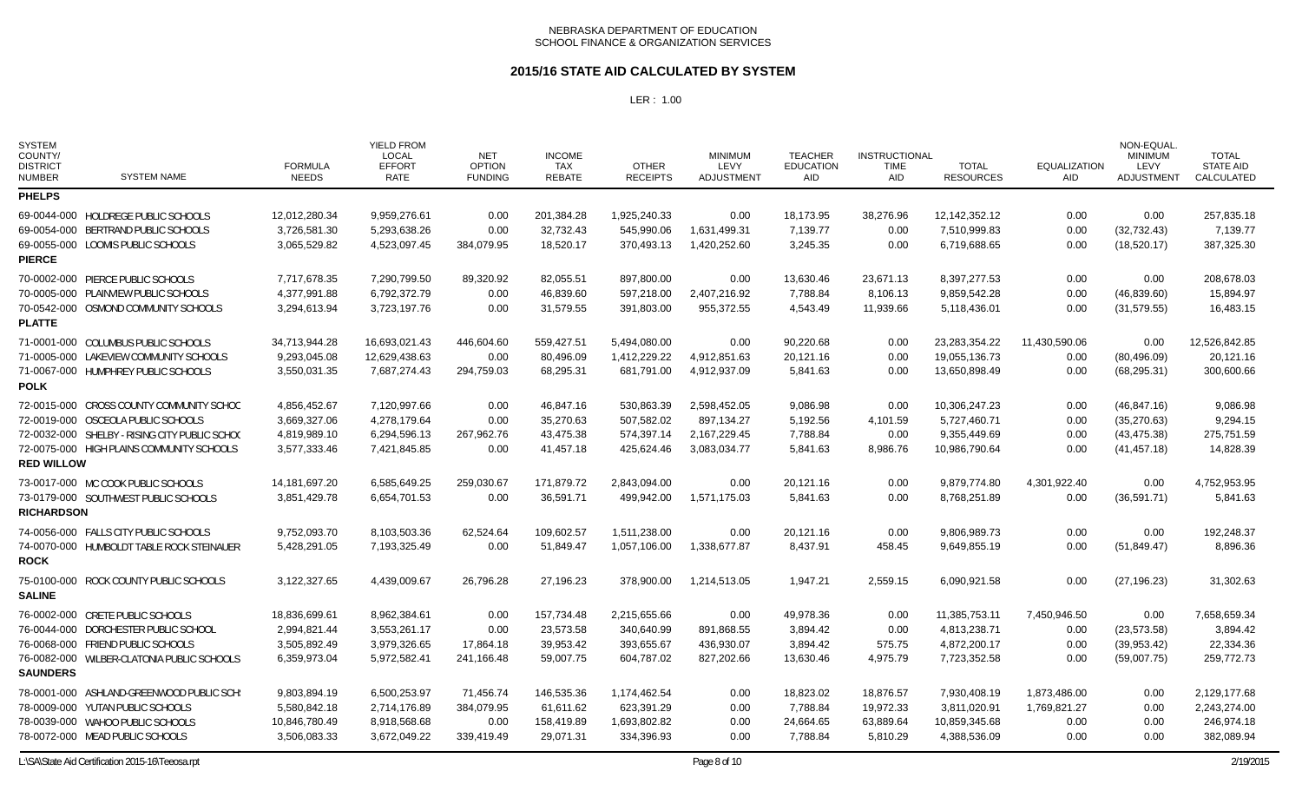### **2015/16 STATE AID CALCULATED BY SYSTEM**

| <b>SYSTEM</b><br>COUNTY/<br><b>DISTRICT</b><br><b>NUMBER</b> | <b>SYSTEM NAME</b>                            | <b>FORMULA</b><br><b>NEEDS</b> | <b>YIELD FROM</b><br><b>LOCAL</b><br><b>EFFORT</b><br><b>RATE</b> | <b>NET</b><br><b>OPTION</b><br><b>FUNDING</b> | <b>INCOME</b><br>TAX<br><b>REBATE</b> | <b>OTHER</b><br><b>RECEIPTS</b> | <b>MINIMUM</b><br>LEVY<br>ADJUSTMENT | <b>TEACHER</b><br><b>EDUCATION</b><br><b>AID</b> | <b>INSTRUCTIONAL</b><br><b>TIME</b><br><b>AID</b> | <b>TOTAL</b><br><b>RESOURCES</b> | <b>EQUALIZATION</b><br><b>AID</b> | NON-EQUAL<br><b>MINIMUM</b><br>LEVY<br><b>ADJUSTMENT</b> | <b>TOTAL</b><br><b>STATE AID</b><br>CALCULATED |
|--------------------------------------------------------------|-----------------------------------------------|--------------------------------|-------------------------------------------------------------------|-----------------------------------------------|---------------------------------------|---------------------------------|--------------------------------------|--------------------------------------------------|---------------------------------------------------|----------------------------------|-----------------------------------|----------------------------------------------------------|------------------------------------------------|
| <b>PHELPS</b>                                                |                                               |                                |                                                                   |                                               |                                       |                                 |                                      |                                                  |                                                   |                                  |                                   |                                                          |                                                |
| <b>PIERCE</b>                                                | 69-0044-000 HOLDREGE PUBLIC SCHOOLS           | 12,012,280.34                  | 9,959,276.61                                                      | 0.00                                          | 201,384.28                            | 1,925,240.33                    | 0.00                                 | 18,173.95                                        | 38,276.96                                         | 12,142,352.12                    | 0.00                              | 0.00                                                     | 257,835.18                                     |
|                                                              | 69-0054-000 BERTRAND PUBLIC SCHOOLS           | 3,726,581.30                   | 5,293,638.26                                                      | 0.00                                          | 32,732.43                             | 545.990.06                      | 1,631,499.31                         | 7,139.77                                         | 0.00                                              | 7.510.999.83                     | 0.00                              | (32,732.43)                                              | 7,139.77                                       |
|                                                              | 69-0055-000 LOOMIS PUBLIC SCHOOLS             | 3,065,529.82                   | 4,523,097.45                                                      | 384,079.95                                    | 18,520.17                             | 370,493.13                      | 1,420,252.60                         | 3,245.35                                         | 0.00                                              | 6,719,688.65                     | 0.00                              | (18,520.17)                                              | 387,325.30                                     |
| <b>PLATTE</b>                                                | 70-0002-000 PIERCE PUBLIC SCHOOLS             | 7,717,678.35                   | 7,290,799.50                                                      | 89,320.92                                     | 82,055.51                             | 897,800.00                      | 0.00                                 | 13,630.46                                        | 23,671.13                                         | 8,397,277.53                     | 0.00                              | 0.00                                                     | 208,678.03                                     |
|                                                              | 70-0005-000 PLAINVIEW PUBLIC SCHOOLS          | 4,377,991.88                   | 6,792,372.79                                                      | 0.00                                          | 46,839.60                             | 597,218.00                      | 2,407,216.92                         | 7,788.84                                         | 8,106.13                                          | 9,859,542.28                     | 0.00                              | (46,839.60)                                              | 15,894.97                                      |
|                                                              | 70-0542-000 OSMOND COMMUNITY SCHOOLS          | 3,294,613.94                   | 3,723,197.76                                                      | 0.00                                          | 31,579.55                             | 391,803.00                      | 955,372.55                           | 4,543.49                                         | 11,939.66                                         | 5,118,436.01                     | 0.00                              | (31, 579.55)                                             | 16,483.15                                      |
| <b>POLK</b>                                                  | 71-0001-000 COLUMBUS PUBLIC SCHOOLS           | 34,713,944.28                  | 16,693,021.43                                                     | 446,604.60                                    | 559,427.51                            | 5,494,080.00                    | 0.00                                 | 90,220.68                                        | 0.00                                              | 23,283,354.22                    | 11,430,590.06                     | 0.00                                                     | 12,526,842.85                                  |
|                                                              | 71-0005-000 LAKEVIEW COMMUNITY SCHOOLS        | 9,293,045.08                   | 12,629,438.63                                                     | 0.00                                          | 80,496.09                             | 1,412,229.22                    | 4,912,851.63                         | 20,121.16                                        | 0.00                                              | 19,055,136.73                    | 0.00                              | (80, 496.09)                                             | 20,121.16                                      |
|                                                              | 71-0067-000 HUMPHREY PUBLIC SCHOOLS           | 3,550,031.35                   | 7,687,274.43                                                      | 294,759.03                                    | 68,295.31                             | 681,791.00                      | 4,912,937.09                         | 5,841.63                                         | 0.00                                              | 13,650,898.49                    | 0.00                              | (68, 295.31)                                             | 300,600.66                                     |
| <b>RED WILLOW</b>                                            | 72-0015-000 CROSS COUNTY COMMUNITY SCHOO      | 4,856,452.67                   | 7,120,997.66                                                      | 0.00                                          | 46,847.16                             | 530,863.39                      | 2,598,452.05                         | 9,086.98                                         | 0.00                                              | 10,306,247.23                    | 0.00                              | (46, 847.16)                                             | 9,086.98                                       |
|                                                              | 72-0019-000 OSCEOLA PUBLIC SCHOOLS            | 3,669,327.06                   | 4,278,179.64                                                      | 0.00                                          | 35,270.63                             | 507,582.02                      | 897,134.27                           | 5,192.56                                         | 4,101.59                                          | 5,727,460.71                     | 0.00                              | (35, 270.63)                                             | 9,294.15                                       |
|                                                              | 72-0032-000 SHELBY - RISING CITY PUBLIC SCHOC | 4,819,989.10                   | 6,294,596.13                                                      | 267,962.76                                    | 43,475.38                             | 574,397.14                      | 2,167,229.45                         | 7,788.84                                         | 0.00                                              | 9,355,449.69                     | 0.00                              | (43, 475.38)                                             | 275,751.59                                     |
|                                                              | 72-0075-000 HIGH PLAINS COMMUNITY SCHOOLS     | 3,577,333.46                   | 7,421,845.85                                                      | 0.00                                          | 41,457.18                             | 425,624.46                      | 3,083,034.77                         | 5,841.63                                         | 8,986.76                                          | 10,986,790.64                    | 0.00                              | (41, 457.18)                                             | 14,828.39                                      |
| <b>RICHARDSON</b>                                            | 73-0017-000 MC COOK PUBLIC SCHOOLS            | 14, 181, 697. 20               | 6,585,649.25                                                      | 259,030.67                                    | 171,879.72                            | 2,843,094.00                    | 0.00                                 | 20,121.16                                        | 0.00                                              | 9,879,774.80                     | 4,301,922.40                      | 0.00                                                     | 4,752,953.95                                   |
|                                                              | 73-0179-000 SOUTHWEST PUBLIC SCHOOLS          | 3,851,429.78                   | 6,654,701.53                                                      | 0.00                                          | 36,591.71                             | 499.942.00                      | 1,571,175.03                         | 5.841.63                                         | 0.00                                              | 8,768,251.89                     | 0.00                              | (36, 591.71)                                             | 5,841.63                                       |
| <b>ROCK</b>                                                  | 74-0056-000 FALLS CITY PUBLIC SCHOOLS         | 9,752,093.70                   | 8,103,503.36                                                      | 62,524.64                                     | 109,602.57                            | 1,511,238.00                    | 0.00                                 | 20,121.16                                        | 0.00                                              | 9,806,989.73                     | 0.00                              | 0.00                                                     | 192.248.37                                     |
|                                                              | 74-0070-000 HUMBOLDT TABLE ROCK STEINAUER     | 5,428,291.05                   | 7,193,325.49                                                      | 0.00                                          | 51,849.47                             | 1,057,106.00                    | 1,338,677.87                         | 8,437.91                                         | 458.45                                            | 9,649,855.19                     | 0.00                              | (51, 849.47)                                             | 8,896.36                                       |
| <b>SALINE</b>                                                | 75-0100-000 ROCK COUNTY PUBLIC SCHOOLS        | 3,122,327.65                   | 4,439,009.67                                                      | 26,796.28                                     | 27,196.23                             | 378,900.00                      | 1,214,513.05                         | 1,947.21                                         | 2,559.15                                          | 6,090,921.58                     | 0.00                              | (27, 196.23)                                             | 31,302.63                                      |
| <b>SAUNDERS</b>                                              | 76-0002-000 CRETE PUBLIC SCHOOLS              | 18,836,699.61                  | 8,962,384.61                                                      | 0.00                                          | 157,734.48                            | 2,215,655.66                    | 0.00                                 | 49,978.36                                        | 0.00                                              | 11,385,753.11                    | 7,450,946.50                      | 0.00                                                     | 7,658,659.34                                   |
|                                                              | 76-0044-000 DORCHESTER PUBLIC SCHOOL          | 2,994,821.44                   | 3,553,261.17                                                      | 0.00                                          | 23,573.58                             | 340,640.99                      | 891,868.55                           | 3,894.42                                         | 0.00                                              | 4,813,238.71                     | 0.00                              | (23, 573.58)                                             | 3,894.42                                       |
|                                                              | 76-0068-000 FRIEND PUBLIC SCHOOLS             | 3,505,892.49                   | 3,979,326.65                                                      | 17,864.18                                     | 39,953.42                             | 393.655.67                      | 436,930.07                           | 3,894.42                                         | 575.75                                            | 4,872,200.17                     | 0.00                              | (39,953.42)                                              | 22,334.36                                      |
|                                                              | 76-0082-000 WILBER-CLATONIA PUBLIC SCHOOLS    | 6,359,973.04                   | 5,972,582.41                                                      | 241,166.48                                    | 59,007.75                             | 604.787.02                      | 827,202.66                           | 13,630.46                                        | 4.975.79                                          | 7,723,352.58                     | 0.00                              | (59,007.75)                                              | 259,772.73                                     |
|                                                              | 78-0001-000 ASHLAND-GREENWOOD PUBLIC SCH:     | 9,803,894.19                   | 6,500,253.97                                                      | 71,456.74                                     | 146,535.36                            | 1,174,462.54                    | 0.00                                 | 18,823.02                                        | 18,876.57                                         | 7,930,408.19                     | 1,873,486.00                      | 0.00                                                     | 2,129,177.68                                   |
|                                                              | 78-0009-000 YUTAN PUBLIC SCHOOLS              | 5,580,842.18                   | 2.714.176.89                                                      | 384.079.95                                    | 61.611.62                             | 623,391.29                      | 0.00                                 | 7,788.84                                         | 19,972.33                                         | 3,811,020.91                     | 1,769,821.27                      | 0.00                                                     | 2,243,274.00                                   |
|                                                              | 78-0039-000 WAHOO PUBLIC SCHOOLS              | 10,846,780.49                  | 8,918,568.68                                                      | 0.00                                          | 158,419.89                            | 1,693,802.82                    | 0.00                                 | 24,664.65                                        | 63,889.64                                         | 10,859,345.68                    | 0.00                              | 0.00                                                     | 246,974.18                                     |
|                                                              | 78-0072-000 MEAD PUBLIC SCHOOLS               | 3,506,083.33                   | 3,672,049.22                                                      | 339,419.49                                    | 29,071.31                             | 334,396.93                      | 0.00                                 | 7,788.84                                         | 5,810.29                                          | 4,388,536.09                     | 0.00                              | 0.00                                                     | 382,089.94                                     |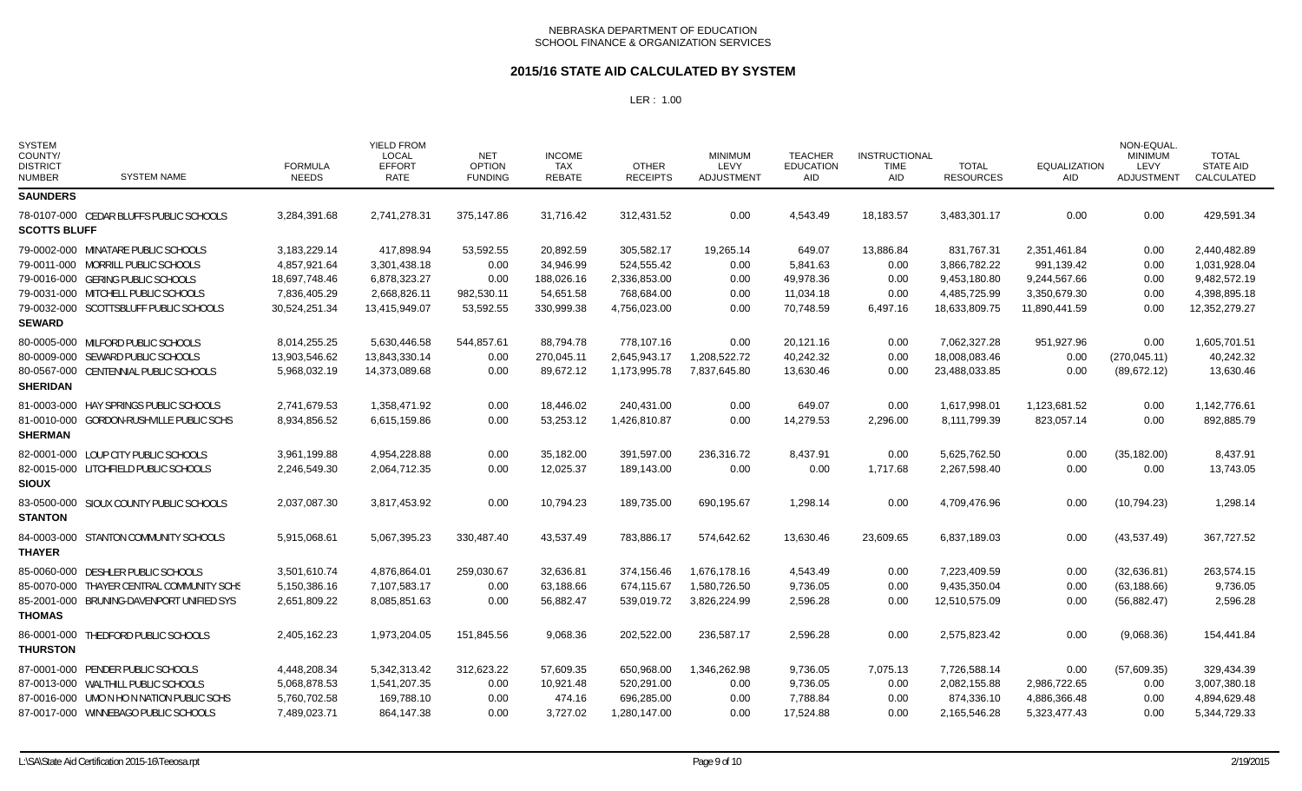### **2015/16 STATE AID CALCULATED BY SYSTEM**

| <b>SYSTEM</b><br>COUNTY/<br><b>DISTRICT</b><br><b>NUMBER</b> | <b>SYSTEM NAME</b>                        | <b>FORMULA</b><br><b>NEEDS</b> | <b>YIELD FROM</b><br><b>LOCAL</b><br><b>EFFORT</b><br><b>RATE</b> | <b>NET</b><br><b>OPTION</b><br><b>FUNDING</b> | <b>INCOME</b><br><b>TAX</b><br><b>REBATE</b> | <b>OTHER</b><br><b>RECEIPTS</b> | <b>MINIMUM</b><br>LEVY<br><b>ADJUSTMENT</b> | <b>TEACHER</b><br><b>EDUCATION</b><br><b>AID</b> | <b>INSTRUCTIONAL</b><br><b>TIME</b><br><b>AID</b> | <b>TOTAL</b><br><b>RESOURCES</b> | <b>EQUALIZATION</b><br><b>AID</b> | NON-EQUAL<br><b>MINIMUM</b><br>LEVY<br>ADJUSTMENT | <b>TOTAL</b><br><b>STATE AID</b><br>CALCULATED |
|--------------------------------------------------------------|-------------------------------------------|--------------------------------|-------------------------------------------------------------------|-----------------------------------------------|----------------------------------------------|---------------------------------|---------------------------------------------|--------------------------------------------------|---------------------------------------------------|----------------------------------|-----------------------------------|---------------------------------------------------|------------------------------------------------|
| <b>SAUNDERS</b>                                              |                                           |                                |                                                                   |                                               |                                              |                                 |                                             |                                                  |                                                   |                                  |                                   |                                                   |                                                |
| <b>SCOTTS BLUFF</b>                                          | 78-0107-000 CEDAR BLUFFS PUBLIC SCHOOLS   | 3,284,391.68                   | 2,741,278.31                                                      | 375,147.86                                    | 31,716.42                                    | 312,431.52                      | 0.00                                        | 4,543.49                                         | 18,183.57                                         | 3,483,301.17                     | 0.00                              | 0.00                                              | 429,591.34                                     |
| <b>SEWARD</b>                                                | 79-0002-000 MINATARE PUBLIC SCHOOLS       | 3,183,229.14                   | 417,898.94                                                        | 53,592.55                                     | 20,892.59                                    | 305,582.17                      | 19,265.14                                   | 649.07                                           | 13,886.84                                         | 831,767.31                       | 2,351,461.84                      | 0.00                                              | 2,440,482.89                                   |
|                                                              | 79-0011-000 MORRILL PUBLIC SCHOOLS        | 4,857,921.64                   | 3,301,438.18                                                      | 0.00                                          | 34,946.99                                    | 524,555.42                      | 0.00                                        | 5,841.63                                         | 0.00                                              | 3,866,782.22                     | 991,139.42                        | 0.00                                              | 1,031,928.04                                   |
|                                                              | 79-0016-000 GERING PUBLIC SCHOOLS         | 18,697,748.46                  | 6,878,323.27                                                      | 0.00                                          | 188,026.16                                   | 2,336,853.00                    | 0.00                                        | 49,978.36                                        | 0.00                                              | 9,453,180.80                     | 9,244,567.66                      | 0.00                                              | 9,482,572.19                                   |
|                                                              | 79-0031-000 MITCHELL PUBLIC SCHOOLS       | 7,836,405.29                   | 2,668,826.11                                                      | 982,530.11                                    | 54,651.58                                    | 768,684.00                      | 0.00                                        | 11,034.18                                        | 0.00                                              | 4,485,725.99                     | 3,350,679.30                      | 0.00                                              | 4,398,895.18                                   |
|                                                              | 79-0032-000 SCOTTSBLUFF PUBLIC SCHOOLS    | 30,524,251.34                  | 13,415,949.07                                                     | 53,592.55                                     | 330,999.38                                   | 4,756,023.00                    | 0.00                                        | 70,748.59                                        | 6,497.16                                          | 18,633,809.75                    | 11,890,441.59                     | 0.00                                              | 12,352,279.27                                  |
| <b>SHERIDAN</b>                                              | 80-0005-000 MILFORD PUBLIC SCHOOLS        | 8,014,255.25                   | 5,630,446.58                                                      | 544,857.61                                    | 88,794.78                                    | 778,107.16                      | 0.00                                        | 20,121.16                                        | 0.00                                              | 7,062,327.28                     | 951,927.96                        | 0.00                                              | 1,605,701.51                                   |
|                                                              | 80-0009-000 SEWARD PUBLIC SCHOOLS         | 13,903,546.62                  | 13,843,330.14                                                     | 0.00                                          | 270,045.11                                   | 2,645,943.17                    | 1,208,522.72                                | 40,242.32                                        | 0.00                                              | 18,008,083.46                    | 0.00                              | (270, 045.11)                                     | 40,242.32                                      |
|                                                              | 80-0567-000 CENTENNIAL PUBLIC SCHOOLS     | 5,968,032.19                   | 14,373,089.68                                                     | 0.00                                          | 89,672.12                                    | 1,173,995.78                    | 7,837,645.80                                | 13,630.46                                        | 0.00                                              | 23,488,033.85                    | 0.00                              | (89, 672.12)                                      | 13,630.46                                      |
| <b>SHERMAN</b>                                               | 81-0003-000 HAY SPRINGS PUBLIC SCHOOLS    | 2,741,679.53                   | 1,358,471.92                                                      | 0.00                                          | 18,446.02                                    | 240,431.00                      | 0.00                                        | 649.07                                           | 0.00                                              | 1,617,998.01                     | 1,123,681.52                      | 0.00                                              | 1,142,776.61                                   |
|                                                              | 81-0010-000 GORDON-RUSHVILLE PUBLIC SCHS  | 8,934,856.52                   | 6,615,159.86                                                      | 0.00                                          | 53,253.12                                    | 1,426,810.87                    | 0.00                                        | 14,279.53                                        | 2,296.00                                          | 8,111,799.39                     | 823,057.14                        | 0.00                                              | 892,885.79                                     |
| <b>SIOUX</b>                                                 | 82-0001-000 LOUP CITY PUBLIC SCHOOLS      | 3,961,199.88                   | 4,954,228.88                                                      | 0.00                                          | 35,182.00                                    | 391,597.00                      | 236,316.72                                  | 8,437.91                                         | 0.00                                              | 5,625,762.50                     | 0.00                              | (35, 182.00)                                      | 8,437.91                                       |
|                                                              | 82-0015-000 LITCHFIELD PUBLIC SCHOOLS     | 2,246,549.30                   | 2,064,712.35                                                      | 0.00                                          | 12,025.37                                    | 189,143.00                      | 0.00                                        | 0.00                                             | 1,717.68                                          | 2,267,598.40                     | 0.00                              | 0.00                                              | 13,743.05                                      |
| <b>STANTON</b>                                               | 83-0500-000 SIOUX COUNTY PUBLIC SCHOOLS   | 2,037,087.30                   | 3,817,453.92                                                      | 0.00                                          | 10,794.23                                    | 189,735.00                      | 690,195.67                                  | 1,298.14                                         | 0.00                                              | 4,709,476.96                     | 0.00                              | (10, 794.23)                                      | 1,298.14                                       |
| <b>THAYER</b>                                                | 84-0003-000 STANTON COMMUNITY SCHOOLS     | 5,915,068.61                   | 5,067,395.23                                                      | 330,487.40                                    | 43,537.49                                    | 783,886.17                      | 574,642.62                                  | 13,630.46                                        | 23,609.65                                         | 6,837,189.03                     | 0.00                              | (43,537.49)                                       | 367,727.52                                     |
| <b>THOMAS</b>                                                | 85-0060-000 DESHLER PUBLIC SCHOOLS        | 3,501,610.74                   | 4,876,864.01                                                      | 259,030.67                                    | 32,636.81                                    | 374,156.46                      | 1,676,178.16                                | 4,543.49                                         | 0.00                                              | 7,223,409.59                     | 0.00                              | (32,636.81)                                       | 263,574.15                                     |
|                                                              | 85-0070-000 THAYER CENTRAL COMMUNITY SCHS | 5,150,386.16                   | 7,107,583.17                                                      | 0.00                                          | 63,188.66                                    | 674,115.67                      | 1,580,726.50                                | 9,736.05                                         | 0.00                                              | 9,435,350.04                     | 0.00                              | (63, 188.66)                                      | 9,736.05                                       |
|                                                              | 85-2001-000 BRUNING-DAVENPORT UNIFIED SYS | 2,651,809.22                   | 8,085,851.63                                                      | 0.00                                          | 56,882.47                                    | 539,019.72                      | 3,826,224.99                                | 2,596.28                                         | 0.00                                              | 12,510,575.09                    | 0.00                              | (56, 882.47)                                      | 2,596.28                                       |
| <b>THURSTON</b>                                              | 86-0001-000 THEDFORD PUBLIC SCHOOLS       | 2,405,162.23                   | 1,973,204.05                                                      | 151,845.56                                    | 9,068.36                                     | 202,522.00                      | 236,587.17                                  | 2,596.28                                         | 0.00                                              | 2,575,823.42                     | 0.00                              | (9,068.36)                                        | 154,441.84                                     |
|                                                              | 87-0001-000 PENDER PUBLIC SCHOOLS         | 4,448,208.34                   | 5,342,313.42                                                      | 312,623.22                                    | 57,609.35                                    | 650,968.00                      | 1,346,262.98                                | 9,736.05                                         | 7,075.13                                          | 7,726,588.14                     | 0.00                              | (57,609.35)                                       | 329,434.39                                     |
|                                                              | 87-0013-000 WALTHILL PUBLIC SCHOOLS       | 5,068,878.53                   | 1,541,207.35                                                      | 0.00                                          | 10,921.48                                    | 520,291.00                      | 0.00                                        | 9,736.05                                         | 0.00                                              | 2,082,155.88                     | 2,986,722.65                      | 0.00                                              | 3,007,380.18                                   |
|                                                              | 87-0016-000 UMO N HO N NATION PUBLIC SCHS | 5,760,702.58                   | 169,788.10                                                        | 0.00                                          | 474.16                                       | 696,285.00                      | 0.00                                        | 7,788.84                                         | 0.00                                              | 874,336.10                       | 4,886,366.48                      | 0.00                                              | 4,894,629.48                                   |
|                                                              | 87-0017-000 WINNEBAGO PUBLIC SCHOOLS      | 7,489,023.71                   | 864.147.38                                                        | 0.00                                          | 3.727.02                                     | 1.280.147.00                    | 0.00                                        | 17.524.88                                        | 0.00                                              | 2.165.546.28                     | 5,323,477.43                      | 0.00                                              | 5.344.729.33                                   |